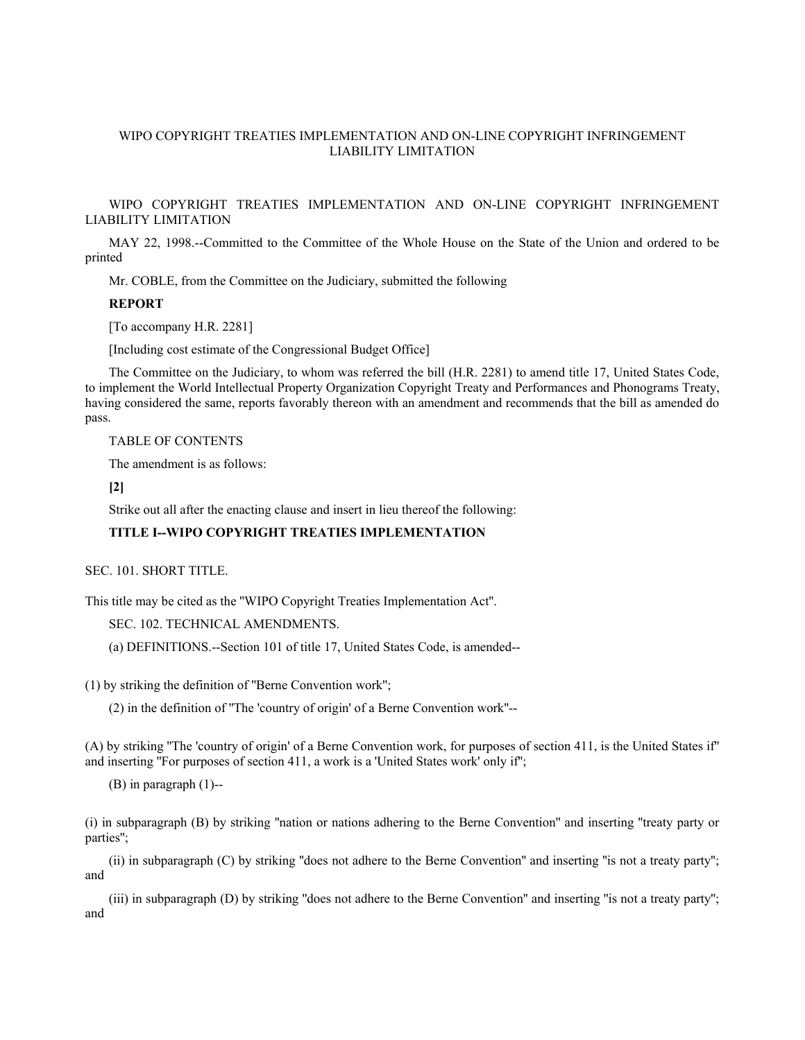# WIPO COPYRIGHT TREATIES IMPLEMENTATION AND ON-LINE COPYRIGHT INFRINGEMENT LIABILITY LIMITATION

WIPO COPYRIGHT TREATIES IMPLEMENTATION AND ON-LINE COPYRIGHT INFRINGEMENT LIABILITY LIMITATION

MAY 22, 1998.--Committed to the Committee of the Whole House on the State of the Union and ordered to be printed

Mr. COBLE, from the Committee on the Judiciary, submitted the following

## **REPORT**

[To accompany H.R. 2281]

[Including cost estimate of the Congressional Budget Office]

The Committee on the Judiciary, to whom was referred the bill (H.R. 2281) to amend title 17, United States Code, to implement the World Intellectual Property Organization Copyright Treaty and Performances and Phonograms Treaty, having considered the same, reports favorably thereon with an amendment and recommends that the bill as amended do pass.

TABLE OF CONTENTS

The amendment is as follows:

**[2]**

Strike out all after the enacting clause and insert in lieu thereof the following:

### **TITLE I--WIPO COPYRIGHT TREATIES IMPLEMENTATION**

SEC. 101. SHORT TITLE.

This title may be cited as the ''WIPO Copyright Treaties Implementation Act''.

SEC. 102. TECHNICAL AMENDMENTS.

(a) DEFINITIONS.--Section 101 of title 17, United States Code, is amended--

(1) by striking the definition of ''Berne Convention work'';

(2) in the definition of ''The 'country of origin' of a Berne Convention work''--

(A) by striking ''The 'country of origin' of a Berne Convention work, for purposes of section 411, is the United States if'' and inserting ''For purposes of section 411, a work is a 'United States work' only if'';

(B) in paragraph (1)--

(i) in subparagraph (B) by striking ''nation or nations adhering to the Berne Convention'' and inserting ''treaty party or parties'';

(ii) in subparagraph (C) by striking ''does not adhere to the Berne Convention'' and inserting ''is not a treaty party''; and

(iii) in subparagraph (D) by striking ''does not adhere to the Berne Convention'' and inserting ''is not a treaty party''; and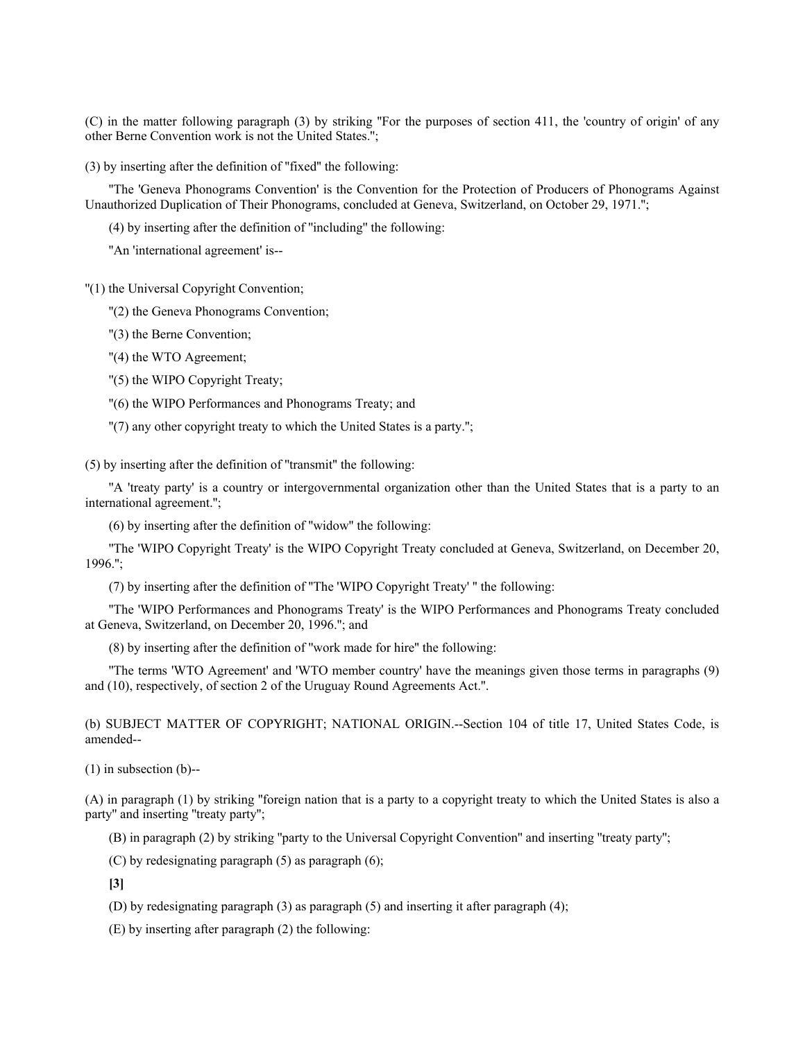(C) in the matter following paragraph (3) by striking ''For the purposes of section 411, the 'country of origin' of any other Berne Convention work is not the United States.'';

(3) by inserting after the definition of ''fixed'' the following:

''The 'Geneva Phonograms Convention' is the Convention for the Protection of Producers of Phonograms Against Unauthorized Duplication of Their Phonograms, concluded at Geneva, Switzerland, on October 29, 1971.'';

(4) by inserting after the definition of ''including'' the following:

''An 'international agreement' is--

''(1) the Universal Copyright Convention;

''(2) the Geneva Phonograms Convention;

''(3) the Berne Convention;

''(4) the WTO Agreement;

''(5) the WIPO Copyright Treaty;

''(6) the WIPO Performances and Phonograms Treaty; and

''(7) any other copyright treaty to which the United States is a party.'';

(5) by inserting after the definition of ''transmit'' the following:

''A 'treaty party' is a country or intergovernmental organization other than the United States that is a party to an international agreement.'';

(6) by inserting after the definition of ''widow'' the following:

''The 'WIPO Copyright Treaty' is the WIPO Copyright Treaty concluded at Geneva, Switzerland, on December 20, 1996.'';

(7) by inserting after the definition of ''The 'WIPO Copyright Treaty' '' the following:

''The 'WIPO Performances and Phonograms Treaty' is the WIPO Performances and Phonograms Treaty concluded at Geneva, Switzerland, on December 20, 1996.''; and

(8) by inserting after the definition of ''work made for hire'' the following:

''The terms 'WTO Agreement' and 'WTO member country' have the meanings given those terms in paragraphs (9) and (10), respectively, of section 2 of the Uruguay Round Agreements Act.''.

(b) SUBJECT MATTER OF COPYRIGHT; NATIONAL ORIGIN.--Section 104 of title 17, United States Code, is amended--

(1) in subsection (b)--

(A) in paragraph (1) by striking ''foreign nation that is a party to a copyright treaty to which the United States is also a party'' and inserting ''treaty party'';

(B) in paragraph (2) by striking ''party to the Universal Copyright Convention'' and inserting ''treaty party'';

(C) by redesignating paragraph (5) as paragraph (6);

**[3]**

(D) by redesignating paragraph (3) as paragraph (5) and inserting it after paragraph (4);

(E) by inserting after paragraph (2) the following: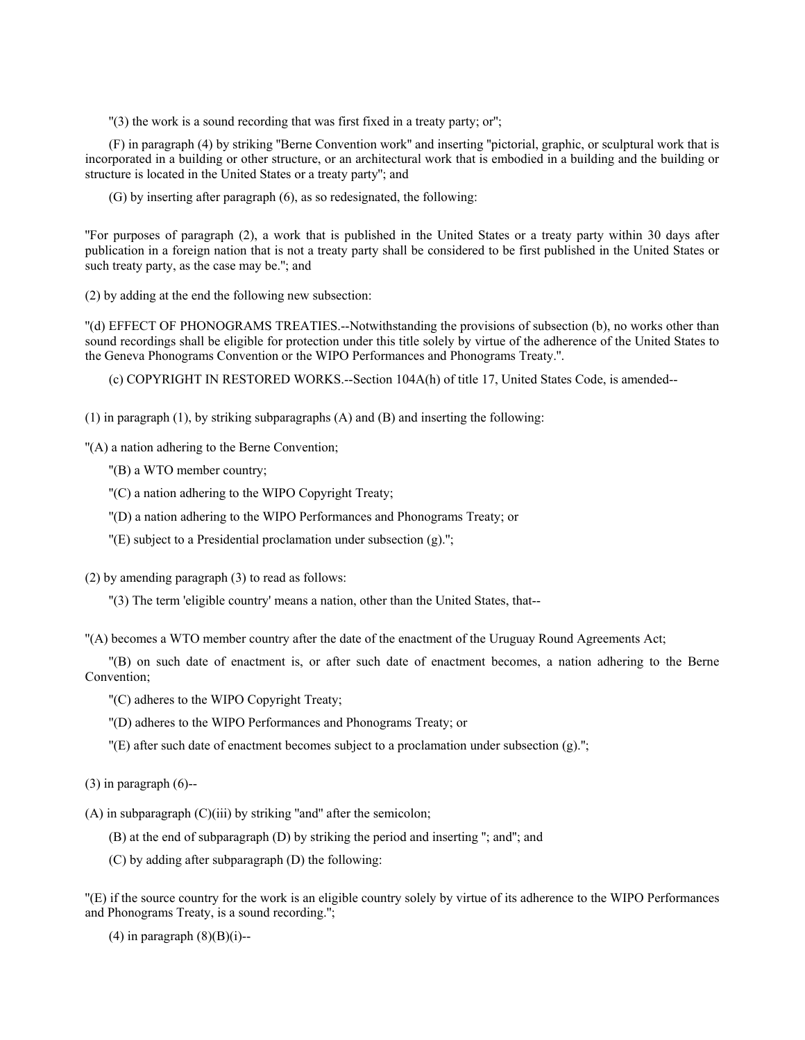''(3) the work is a sound recording that was first fixed in a treaty party; or'';

(F) in paragraph (4) by striking ''Berne Convention work'' and inserting ''pictorial, graphic, or sculptural work that is incorporated in a building or other structure, or an architectural work that is embodied in a building and the building or structure is located in the United States or a treaty party''; and

(G) by inserting after paragraph (6), as so redesignated, the following:

''For purposes of paragraph (2), a work that is published in the United States or a treaty party within 30 days after publication in a foreign nation that is not a treaty party shall be considered to be first published in the United States or such treaty party, as the case may be.''; and

(2) by adding at the end the following new subsection:

''(d) EFFECT OF PHONOGRAMS TREATIES.--Notwithstanding the provisions of subsection (b), no works other than sound recordings shall be eligible for protection under this title solely by virtue of the adherence of the United States to the Geneva Phonograms Convention or the WIPO Performances and Phonograms Treaty.''.

(c) COPYRIGHT IN RESTORED WORKS.--Section 104A(h) of title 17, United States Code, is amended--

(1) in paragraph (1), by striking subparagraphs (A) and (B) and inserting the following:

''(A) a nation adhering to the Berne Convention;

''(B) a WTO member country;

- ''(C) a nation adhering to the WIPO Copyright Treaty;
- ''(D) a nation adhering to the WIPO Performances and Phonograms Treaty; or
- ''(E) subject to a Presidential proclamation under subsection (g).'';

(2) by amending paragraph (3) to read as follows:

''(3) The term 'eligible country' means a nation, other than the United States, that--

''(A) becomes a WTO member country after the date of the enactment of the Uruguay Round Agreements Act;

''(B) on such date of enactment is, or after such date of enactment becomes, a nation adhering to the Berne Convention;

''(C) adheres to the WIPO Copyright Treaty;

''(D) adheres to the WIPO Performances and Phonograms Treaty; or

''(E) after such date of enactment becomes subject to a proclamation under subsection (g).'';

 $(3)$  in paragraph  $(6)$ --

 $(A)$  in subparagraph  $(C)(iii)$  by striking "and" after the semicolon;

(B) at the end of subparagraph (D) by striking the period and inserting ''; and''; and

(C) by adding after subparagraph (D) the following:

''(E) if the source country for the work is an eligible country solely by virtue of its adherence to the WIPO Performances and Phonograms Treaty, is a sound recording.'';

 $(4)$  in paragraph  $(8)(B)(i)$ --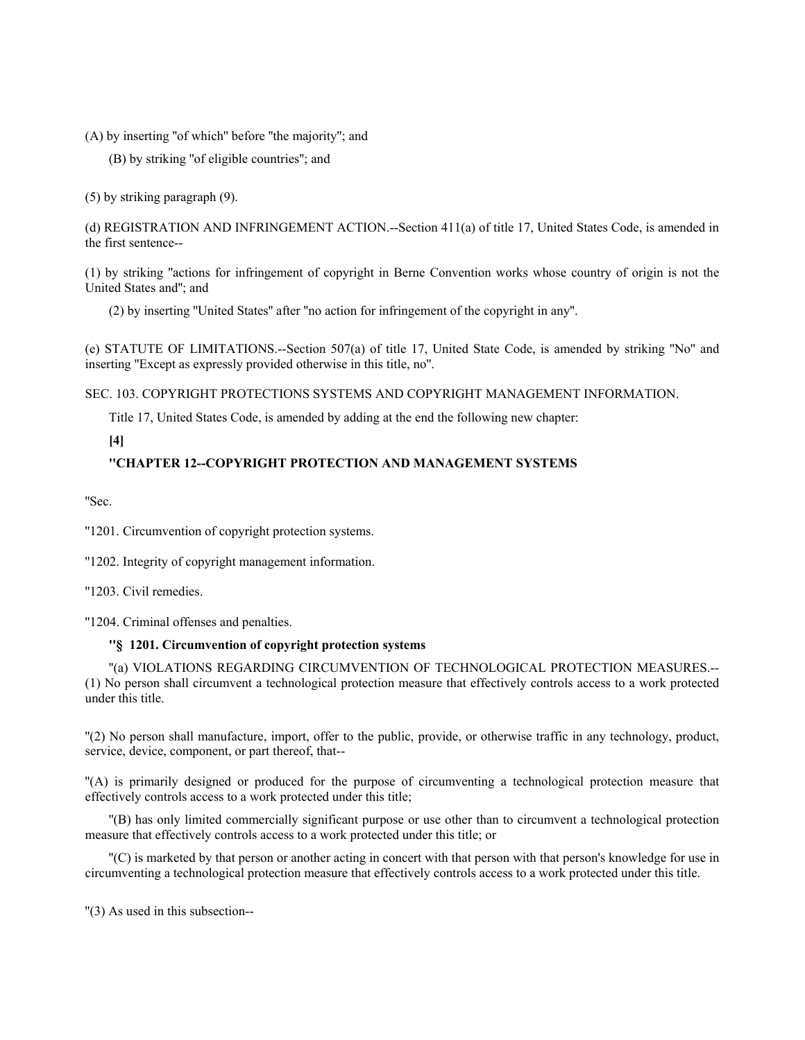(A) by inserting ''of which'' before ''the majority''; and

(B) by striking ''of eligible countries''; and

(5) by striking paragraph (9).

(d) REGISTRATION AND INFRINGEMENT ACTION.--Section 411(a) of title 17, United States Code, is amended in the first sentence--

(1) by striking ''actions for infringement of copyright in Berne Convention works whose country of origin is not the United States and''; and

(2) by inserting ''United States'' after ''no action for infringement of the copyright in any''.

(e) STATUTE OF LIMITATIONS.--Section 507(a) of title 17, United State Code, is amended by striking ''No'' and inserting ''Except as expressly provided otherwise in this title, no''.

SEC. 103. COPYRIGHT PROTECTIONS SYSTEMS AND COPYRIGHT MANAGEMENT INFORMATION.

Title 17, United States Code, is amended by adding at the end the following new chapter:

# **[4]**

# **''CHAPTER 12--COPYRIGHT PROTECTION AND MANAGEMENT SYSTEMS**

''Sec.

''1201. Circumvention of copyright protection systems.

''1202. Integrity of copyright management information.

''1203. Civil remedies.

''1204. Criminal offenses and penalties.

# **''§ 1201. Circumvention of copyright protection systems**

''(a) VIOLATIONS REGARDING CIRCUMVENTION OF TECHNOLOGICAL PROTECTION MEASURES.-- (1) No person shall circumvent a technological protection measure that effectively controls access to a work protected under this title.

''(2) No person shall manufacture, import, offer to the public, provide, or otherwise traffic in any technology, product, service, device, component, or part thereof, that--

''(A) is primarily designed or produced for the purpose of circumventing a technological protection measure that effectively controls access to a work protected under this title;

''(B) has only limited commercially significant purpose or use other than to circumvent a technological protection measure that effectively controls access to a work protected under this title; or

''(C) is marketed by that person or another acting in concert with that person with that person's knowledge for use in circumventing a technological protection measure that effectively controls access to a work protected under this title.

''(3) As used in this subsection--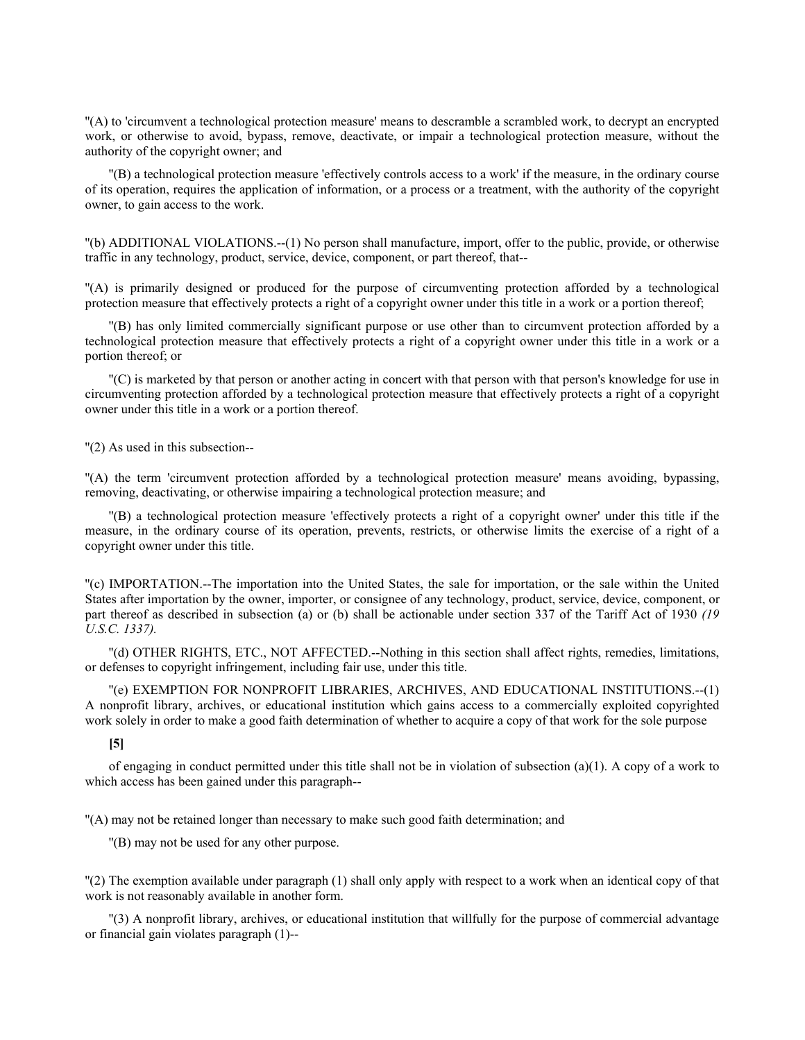''(A) to 'circumvent a technological protection measure' means to descramble a scrambled work, to decrypt an encrypted work, or otherwise to avoid, bypass, remove, deactivate, or impair a technological protection measure, without the authority of the copyright owner; and

''(B) a technological protection measure 'effectively controls access to a work' if the measure, in the ordinary course of its operation, requires the application of information, or a process or a treatment, with the authority of the copyright owner, to gain access to the work.

''(b) ADDITIONAL VIOLATIONS.--(1) No person shall manufacture, import, offer to the public, provide, or otherwise traffic in any technology, product, service, device, component, or part thereof, that--

''(A) is primarily designed or produced for the purpose of circumventing protection afforded by a technological protection measure that effectively protects a right of a copyright owner under this title in a work or a portion thereof;

''(B) has only limited commercially significant purpose or use other than to circumvent protection afforded by a technological protection measure that effectively protects a right of a copyright owner under this title in a work or a portion thereof; or

''(C) is marketed by that person or another acting in concert with that person with that person's knowledge for use in circumventing protection afforded by a technological protection measure that effectively protects a right of a copyright owner under this title in a work or a portion thereof.

''(2) As used in this subsection--

''(A) the term 'circumvent protection afforded by a technological protection measure' means avoiding, bypassing, removing, deactivating, or otherwise impairing a technological protection measure; and

''(B) a technological protection measure 'effectively protects a right of a copyright owner' under this title if the measure, in the ordinary course of its operation, prevents, restricts, or otherwise limits the exercise of a right of a copyright owner under this title.

''(c) IMPORTATION.--The importation into the United States, the sale for importation, or the sale within the United States after importation by the owner, importer, or consignee of any technology, product, service, device, component, or part thereof as described in subsection (a) or (b) shall be actionable under section 337 of the Tariff Act of 1930 *(19 U.S.C. 1337).*

''(d) OTHER RIGHTS, ETC., NOT AFFECTED.--Nothing in this section shall affect rights, remedies, limitations, or defenses to copyright infringement, including fair use, under this title.

''(e) EXEMPTION FOR NONPROFIT LIBRARIES, ARCHIVES, AND EDUCATIONAL INSTITUTIONS.--(1) A nonprofit library, archives, or educational institution which gains access to a commercially exploited copyrighted work solely in order to make a good faith determination of whether to acquire a copy of that work for the sole purpose

## **[5]**

of engaging in conduct permitted under this title shall not be in violation of subsection (a)(1). A copy of a work to which access has been gained under this paragraph--

''(A) may not be retained longer than necessary to make such good faith determination; and

''(B) may not be used for any other purpose.

''(2) The exemption available under paragraph (1) shall only apply with respect to a work when an identical copy of that work is not reasonably available in another form.

''(3) A nonprofit library, archives, or educational institution that willfully for the purpose of commercial advantage or financial gain violates paragraph (1)--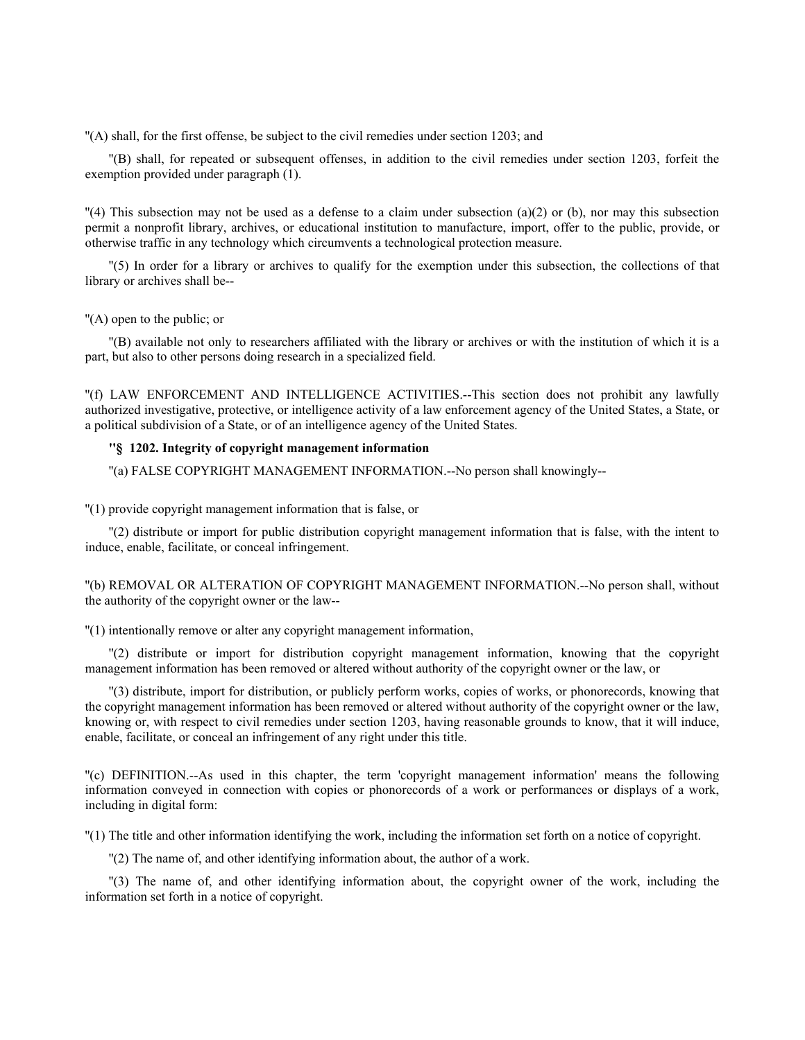''(A) shall, for the first offense, be subject to the civil remedies under section 1203; and

''(B) shall, for repeated or subsequent offenses, in addition to the civil remedies under section 1203, forfeit the exemption provided under paragraph (1).

 $\Gamma$ (4) This subsection may not be used as a defense to a claim under subsection (a)(2) or (b), nor may this subsection permit a nonprofit library, archives, or educational institution to manufacture, import, offer to the public, provide, or otherwise traffic in any technology which circumvents a technological protection measure.

''(5) In order for a library or archives to qualify for the exemption under this subsection, the collections of that library or archives shall be--

''(A) open to the public; or

''(B) available not only to researchers affiliated with the library or archives or with the institution of which it is a part, but also to other persons doing research in a specialized field.

''(f) LAW ENFORCEMENT AND INTELLIGENCE ACTIVITIES.--This section does not prohibit any lawfully authorized investigative, protective, or intelligence activity of a law enforcement agency of the United States, a State, or a political subdivision of a State, or of an intelligence agency of the United States.

## **''§ 1202. Integrity of copyright management information**

''(a) FALSE COPYRIGHT MANAGEMENT INFORMATION.--No person shall knowingly--

''(1) provide copyright management information that is false, or

''(2) distribute or import for public distribution copyright management information that is false, with the intent to induce, enable, facilitate, or conceal infringement.

''(b) REMOVAL OR ALTERATION OF COPYRIGHT MANAGEMENT INFORMATION.--No person shall, without the authority of the copyright owner or the law--

''(1) intentionally remove or alter any copyright management information,

''(2) distribute or import for distribution copyright management information, knowing that the copyright management information has been removed or altered without authority of the copyright owner or the law, or

''(3) distribute, import for distribution, or publicly perform works, copies of works, or phonorecords, knowing that the copyright management information has been removed or altered without authority of the copyright owner or the law, knowing or, with respect to civil remedies under section 1203, having reasonable grounds to know, that it will induce, enable, facilitate, or conceal an infringement of any right under this title.

''(c) DEFINITION.--As used in this chapter, the term 'copyright management information' means the following information conveyed in connection with copies or phonorecords of a work or performances or displays of a work, including in digital form:

''(1) The title and other information identifying the work, including the information set forth on a notice of copyright.

''(2) The name of, and other identifying information about, the author of a work.

''(3) The name of, and other identifying information about, the copyright owner of the work, including the information set forth in a notice of copyright.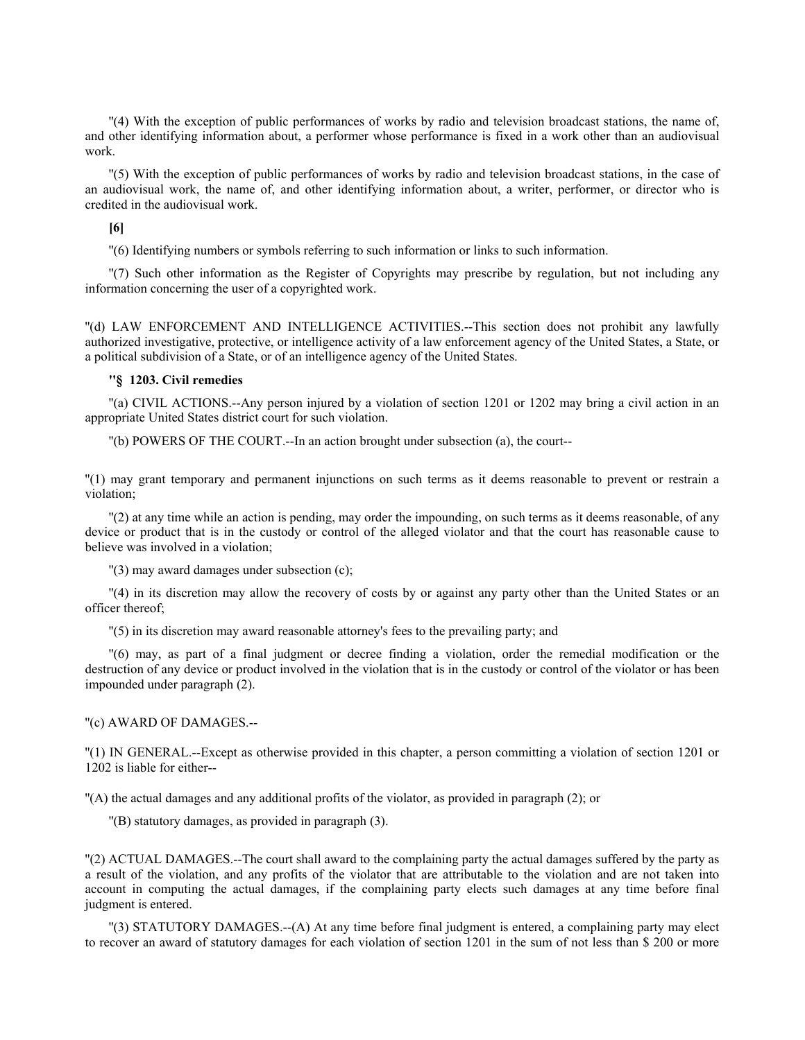''(4) With the exception of public performances of works by radio and television broadcast stations, the name of, and other identifying information about, a performer whose performance is fixed in a work other than an audiovisual work.

''(5) With the exception of public performances of works by radio and television broadcast stations, in the case of an audiovisual work, the name of, and other identifying information about, a writer, performer, or director who is credited in the audiovisual work.

## **[6]**

''(6) Identifying numbers or symbols referring to such information or links to such information.

''(7) Such other information as the Register of Copyrights may prescribe by regulation, but not including any information concerning the user of a copyrighted work.

''(d) LAW ENFORCEMENT AND INTELLIGENCE ACTIVITIES.--This section does not prohibit any lawfully authorized investigative, protective, or intelligence activity of a law enforcement agency of the United States, a State, or a political subdivision of a State, or of an intelligence agency of the United States.

### **''§ 1203. Civil remedies**

''(a) CIVIL ACTIONS.--Any person injured by a violation of section 1201 or 1202 may bring a civil action in an appropriate United States district court for such violation.

''(b) POWERS OF THE COURT.--In an action brought under subsection (a), the court--

''(1) may grant temporary and permanent injunctions on such terms as it deems reasonable to prevent or restrain a violation;

''(2) at any time while an action is pending, may order the impounding, on such terms as it deems reasonable, of any device or product that is in the custody or control of the alleged violator and that the court has reasonable cause to believe was involved in a violation;

''(3) may award damages under subsection (c);

''(4) in its discretion may allow the recovery of costs by or against any party other than the United States or an officer thereof;

''(5) in its discretion may award reasonable attorney's fees to the prevailing party; and

''(6) may, as part of a final judgment or decree finding a violation, order the remedial modification or the destruction of any device or product involved in the violation that is in the custody or control of the violator or has been impounded under paragraph (2).

## ''(c) AWARD OF DAMAGES.--

''(1) IN GENERAL.--Except as otherwise provided in this chapter, a person committing a violation of section 1201 or 1202 is liable for either--

''(A) the actual damages and any additional profits of the violator, as provided in paragraph (2); or

''(B) statutory damages, as provided in paragraph (3).

''(2) ACTUAL DAMAGES.--The court shall award to the complaining party the actual damages suffered by the party as a result of the violation, and any profits of the violator that are attributable to the violation and are not taken into account in computing the actual damages, if the complaining party elects such damages at any time before final judgment is entered.

''(3) STATUTORY DAMAGES.--(A) At any time before final judgment is entered, a complaining party may elect to recover an award of statutory damages for each violation of section 1201 in the sum of not less than \$ 200 or more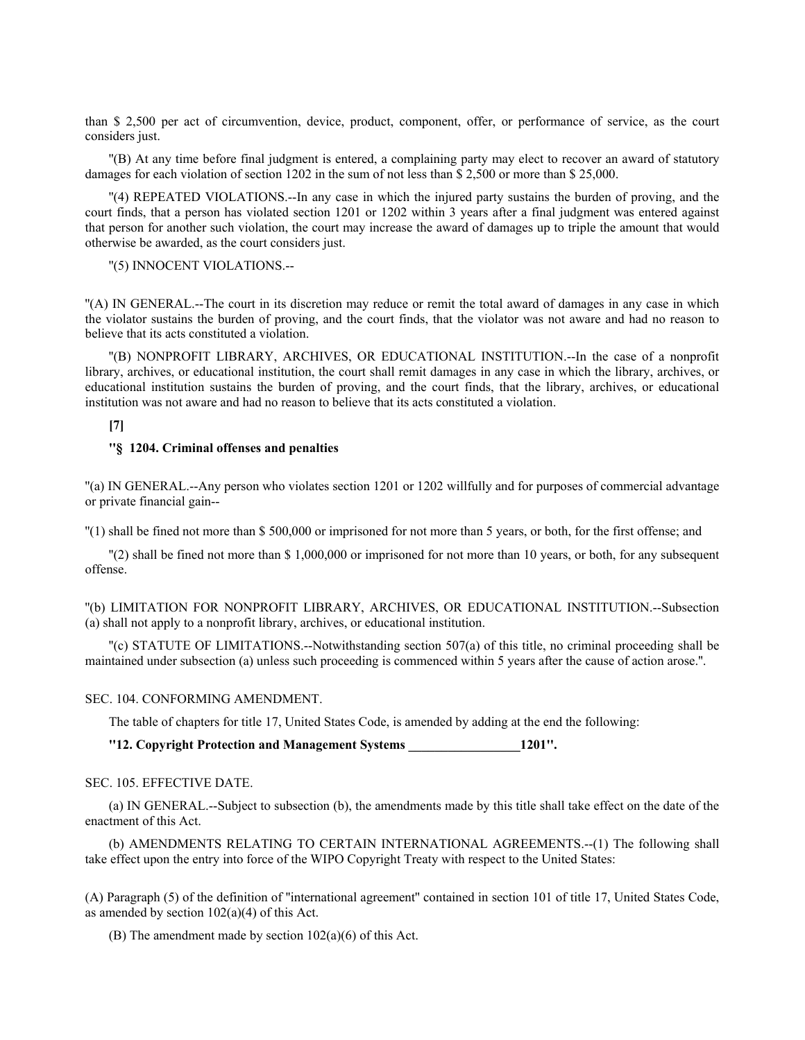than \$ 2,500 per act of circumvention, device, product, component, offer, or performance of service, as the court considers just.

''(B) At any time before final judgment is entered, a complaining party may elect to recover an award of statutory damages for each violation of section 1202 in the sum of not less than \$ 2,500 or more than \$ 25,000.

''(4) REPEATED VIOLATIONS.--In any case in which the injured party sustains the burden of proving, and the court finds, that a person has violated section 1201 or 1202 within 3 years after a final judgment was entered against that person for another such violation, the court may increase the award of damages up to triple the amount that would otherwise be awarded, as the court considers just.

''(5) INNOCENT VIOLATIONS.--

''(A) IN GENERAL.--The court in its discretion may reduce or remit the total award of damages in any case in which the violator sustains the burden of proving, and the court finds, that the violator was not aware and had no reason to believe that its acts constituted a violation.

''(B) NONPROFIT LIBRARY, ARCHIVES, OR EDUCATIONAL INSTITUTION.--In the case of a nonprofit library, archives, or educational institution, the court shall remit damages in any case in which the library, archives, or educational institution sustains the burden of proving, and the court finds, that the library, archives, or educational institution was not aware and had no reason to believe that its acts constituted a violation.

## **[7]**

## **''§ 1204. Criminal offenses and penalties**

''(a) IN GENERAL.--Any person who violates section 1201 or 1202 willfully and for purposes of commercial advantage or private financial gain--

''(1) shall be fined not more than \$ 500,000 or imprisoned for not more than 5 years, or both, for the first offense; and

''(2) shall be fined not more than \$ 1,000,000 or imprisoned for not more than 10 years, or both, for any subsequent offense.

''(b) LIMITATION FOR NONPROFIT LIBRARY, ARCHIVES, OR EDUCATIONAL INSTITUTION.--Subsection (a) shall not apply to a nonprofit library, archives, or educational institution.

''(c) STATUTE OF LIMITATIONS.--Notwithstanding section 507(a) of this title, no criminal proceeding shall be maintained under subsection (a) unless such proceeding is commenced within 5 years after the cause of action arose.''.

## SEC. 104. CONFORMING AMENDMENT.

The table of chapters for title 17, United States Code, is amended by adding at the end the following:

**''12. Copyright Protection and Management Systems \_\_\_\_\_\_\_\_\_\_\_\_\_\_\_\_\_1201''.**

## SEC. 105. EFFECTIVE DATE.

(a) IN GENERAL.--Subject to subsection (b), the amendments made by this title shall take effect on the date of the enactment of this Act.

(b) AMENDMENTS RELATING TO CERTAIN INTERNATIONAL AGREEMENTS.--(1) The following shall take effect upon the entry into force of the WIPO Copyright Treaty with respect to the United States:

(A) Paragraph (5) of the definition of ''international agreement'' contained in section 101 of title 17, United States Code, as amended by section  $102(a)(4)$  of this Act.

(B) The amendment made by section  $102(a)(6)$  of this Act.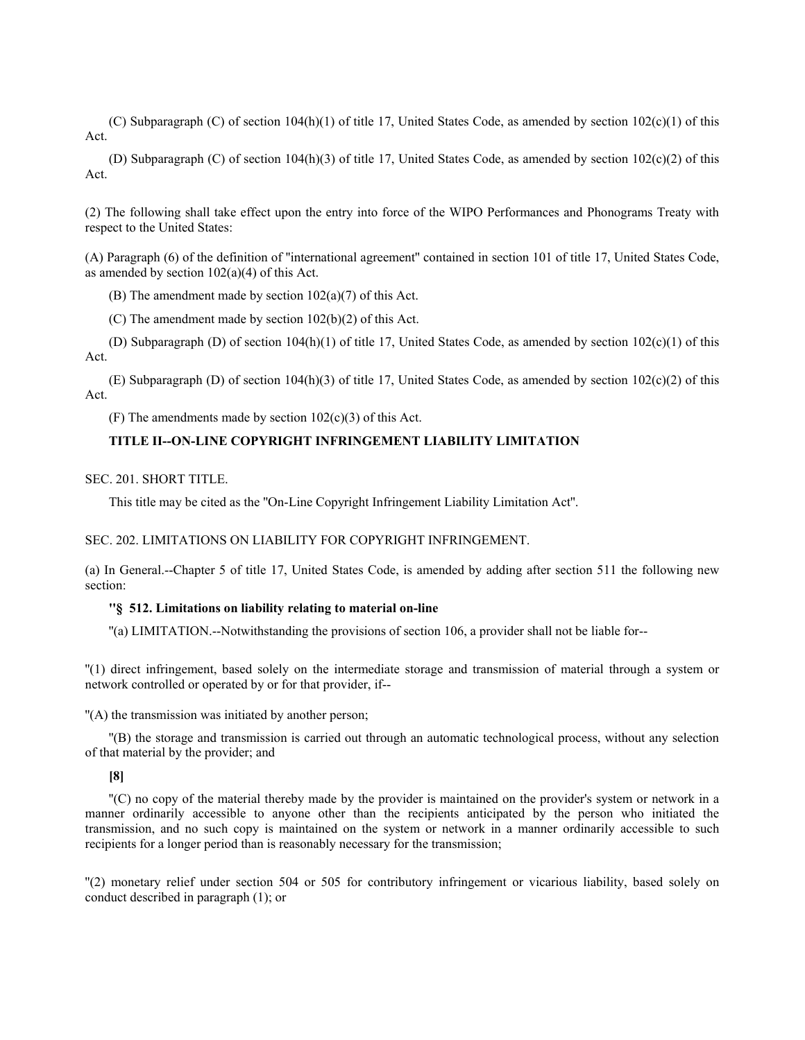(C) Subparagraph (C) of section  $104(h)(1)$  of title 17, United States Code, as amended by section  $102(c)(1)$  of this Act.

(D) Subparagraph (C) of section  $104(h)(3)$  of title 17, United States Code, as amended by section  $102(c)(2)$  of this Act.

(2) The following shall take effect upon the entry into force of the WIPO Performances and Phonograms Treaty with respect to the United States:

(A) Paragraph (6) of the definition of ''international agreement'' contained in section 101 of title 17, United States Code, as amended by section  $102(a)(4)$  of this Act.

(B) The amendment made by section  $102(a)(7)$  of this Act.

(C) The amendment made by section 102(b)(2) of this Act.

(D) Subparagraph (D) of section 104(h)(1) of title 17, United States Code, as amended by section 102(c)(1) of this Act.

(E) Subparagraph (D) of section  $104(h)(3)$  of title 17, United States Code, as amended by section  $102(c)(2)$  of this Act.

(F) The amendments made by section  $102(c)(3)$  of this Act.

# **TITLE II--ON-LINE COPYRIGHT INFRINGEMENT LIABILITY LIMITATION**

SEC. 201. SHORT TITLE.

This title may be cited as the ''On-Line Copyright Infringement Liability Limitation Act''.

### SEC. 202. LIMITATIONS ON LIABILITY FOR COPYRIGHT INFRINGEMENT.

(a) In General.--Chapter 5 of title 17, United States Code, is amended by adding after section 511 the following new section:

### **''§ 512. Limitations on liability relating to material on-line**

''(a) LIMITATION.--Notwithstanding the provisions of section 106, a provider shall not be liable for--

''(1) direct infringement, based solely on the intermediate storage and transmission of material through a system or network controlled or operated by or for that provider, if--

''(A) the transmission was initiated by another person;

''(B) the storage and transmission is carried out through an automatic technological process, without any selection of that material by the provider; and

**[8]**

''(C) no copy of the material thereby made by the provider is maintained on the provider's system or network in a manner ordinarily accessible to anyone other than the recipients anticipated by the person who initiated the transmission, and no such copy is maintained on the system or network in a manner ordinarily accessible to such recipients for a longer period than is reasonably necessary for the transmission;

''(2) monetary relief under section 504 or 505 for contributory infringement or vicarious liability, based solely on conduct described in paragraph (1); or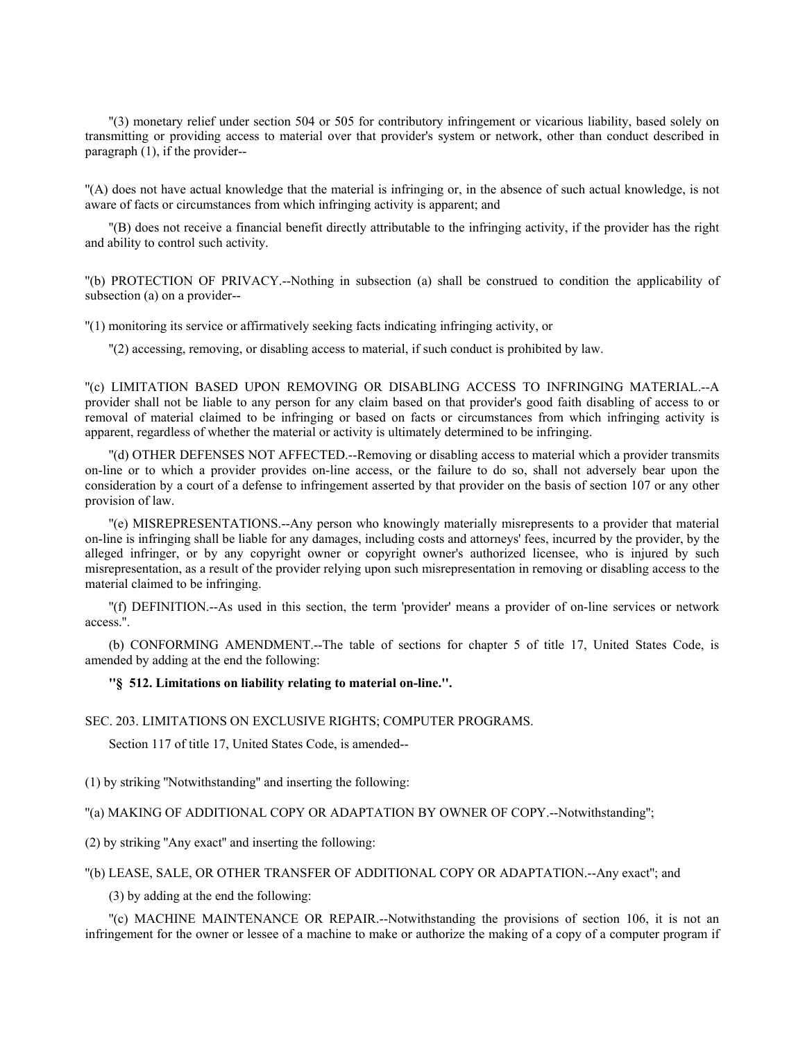''(3) monetary relief under section 504 or 505 for contributory infringement or vicarious liability, based solely on transmitting or providing access to material over that provider's system or network, other than conduct described in paragraph (1), if the provider--

''(A) does not have actual knowledge that the material is infringing or, in the absence of such actual knowledge, is not aware of facts or circumstances from which infringing activity is apparent; and

''(B) does not receive a financial benefit directly attributable to the infringing activity, if the provider has the right and ability to control such activity.

''(b) PROTECTION OF PRIVACY.--Nothing in subsection (a) shall be construed to condition the applicability of subsection (a) on a provider--

''(1) monitoring its service or affirmatively seeking facts indicating infringing activity, or

''(2) accessing, removing, or disabling access to material, if such conduct is prohibited by law.

''(c) LIMITATION BASED UPON REMOVING OR DISABLING ACCESS TO INFRINGING MATERIAL.--A provider shall not be liable to any person for any claim based on that provider's good faith disabling of access to or removal of material claimed to be infringing or based on facts or circumstances from which infringing activity is apparent, regardless of whether the material or activity is ultimately determined to be infringing.

''(d) OTHER DEFENSES NOT AFFECTED.--Removing or disabling access to material which a provider transmits on-line or to which a provider provides on-line access, or the failure to do so, shall not adversely bear upon the consideration by a court of a defense to infringement asserted by that provider on the basis of section 107 or any other provision of law.

''(e) MISREPRESENTATIONS.--Any person who knowingly materially misrepresents to a provider that material on-line is infringing shall be liable for any damages, including costs and attorneys' fees, incurred by the provider, by the alleged infringer, or by any copyright owner or copyright owner's authorized licensee, who is injured by such misrepresentation, as a result of the provider relying upon such misrepresentation in removing or disabling access to the material claimed to be infringing.

''(f) DEFINITION.--As used in this section, the term 'provider' means a provider of on-line services or network access.''.

(b) CONFORMING AMENDMENT.--The table of sections for chapter 5 of title 17, United States Code, is amended by adding at the end the following:

### **''§ 512. Limitations on liability relating to material on-line.''.**

## SEC. 203. LIMITATIONS ON EXCLUSIVE RIGHTS; COMPUTER PROGRAMS.

Section 117 of title 17, United States Code, is amended--

(1) by striking ''Notwithstanding'' and inserting the following:

''(a) MAKING OF ADDITIONAL COPY OR ADAPTATION BY OWNER OF COPY.--Notwithstanding'';

(2) by striking ''Any exact'' and inserting the following:

## ''(b) LEASE, SALE, OR OTHER TRANSFER OF ADDITIONAL COPY OR ADAPTATION.--Any exact''; and

(3) by adding at the end the following:

''(c) MACHINE MAINTENANCE OR REPAIR.--Notwithstanding the provisions of section 106, it is not an infringement for the owner or lessee of a machine to make or authorize the making of a copy of a computer program if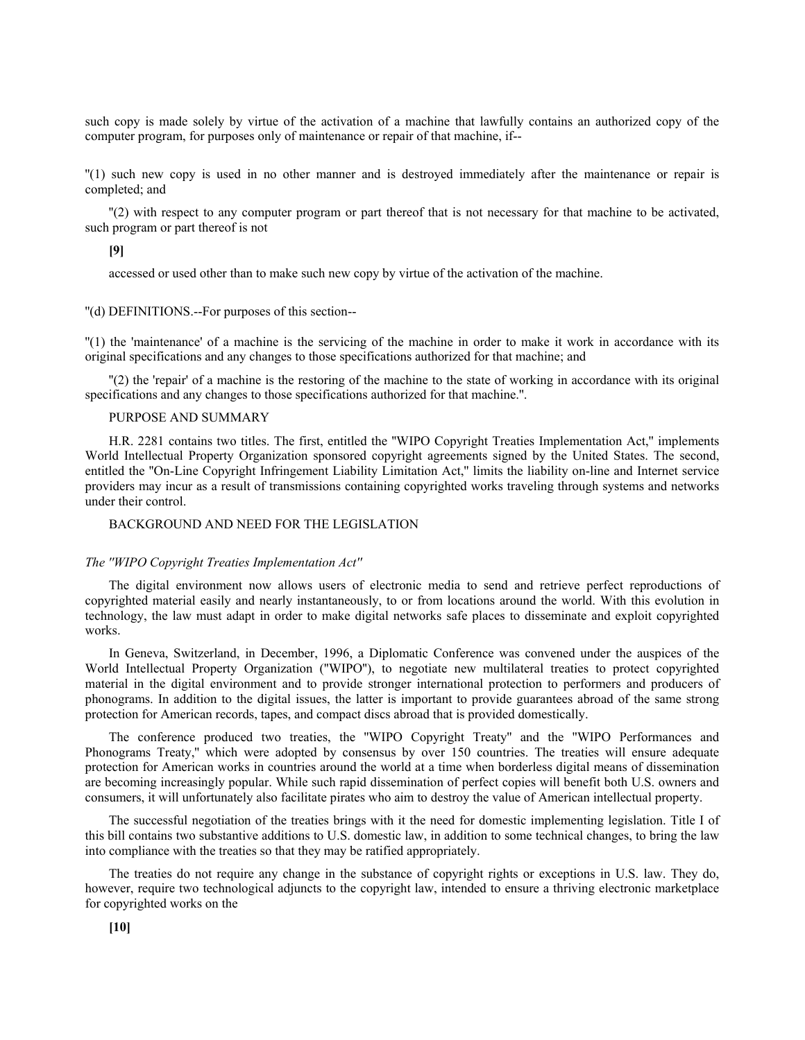such copy is made solely by virtue of the activation of a machine that lawfully contains an authorized copy of the computer program, for purposes only of maintenance or repair of that machine, if--

''(1) such new copy is used in no other manner and is destroyed immediately after the maintenance or repair is completed; and

''(2) with respect to any computer program or part thereof that is not necessary for that machine to be activated, such program or part thereof is not

## **[9]**

accessed or used other than to make such new copy by virtue of the activation of the machine.

#### ''(d) DEFINITIONS.--For purposes of this section--

''(1) the 'maintenance' of a machine is the servicing of the machine in order to make it work in accordance with its original specifications and any changes to those specifications authorized for that machine; and

''(2) the 'repair' of a machine is the restoring of the machine to the state of working in accordance with its original specifications and any changes to those specifications authorized for that machine.''.

## PURPOSE AND SUMMARY

H.R. 2281 contains two titles. The first, entitled the ''WIPO Copyright Treaties Implementation Act,'' implements World Intellectual Property Organization sponsored copyright agreements signed by the United States. The second, entitled the ''On-Line Copyright Infringement Liability Limitation Act,'' limits the liability on-line and Internet service providers may incur as a result of transmissions containing copyrighted works traveling through systems and networks under their control.

## BACKGROUND AND NEED FOR THE LEGISLATION

#### *The ''WIPO Copyright Treaties Implementation Act''*

The digital environment now allows users of electronic media to send and retrieve perfect reproductions of copyrighted material easily and nearly instantaneously, to or from locations around the world. With this evolution in technology, the law must adapt in order to make digital networks safe places to disseminate and exploit copyrighted works.

In Geneva, Switzerland, in December, 1996, a Diplomatic Conference was convened under the auspices of the World Intellectual Property Organization (''WIPO''), to negotiate new multilateral treaties to protect copyrighted material in the digital environment and to provide stronger international protection to performers and producers of phonograms. In addition to the digital issues, the latter is important to provide guarantees abroad of the same strong protection for American records, tapes, and compact discs abroad that is provided domestically.

The conference produced two treaties, the ''WIPO Copyright Treaty'' and the ''WIPO Performances and Phonograms Treaty,'' which were adopted by consensus by over 150 countries. The treaties will ensure adequate protection for American works in countries around the world at a time when borderless digital means of dissemination are becoming increasingly popular. While such rapid dissemination of perfect copies will benefit both U.S. owners and consumers, it will unfortunately also facilitate pirates who aim to destroy the value of American intellectual property.

The successful negotiation of the treaties brings with it the need for domestic implementing legislation. Title I of this bill contains two substantive additions to U.S. domestic law, in addition to some technical changes, to bring the law into compliance with the treaties so that they may be ratified appropriately.

The treaties do not require any change in the substance of copyright rights or exceptions in U.S. law. They do, however, require two technological adjuncts to the copyright law, intended to ensure a thriving electronic marketplace for copyrighted works on the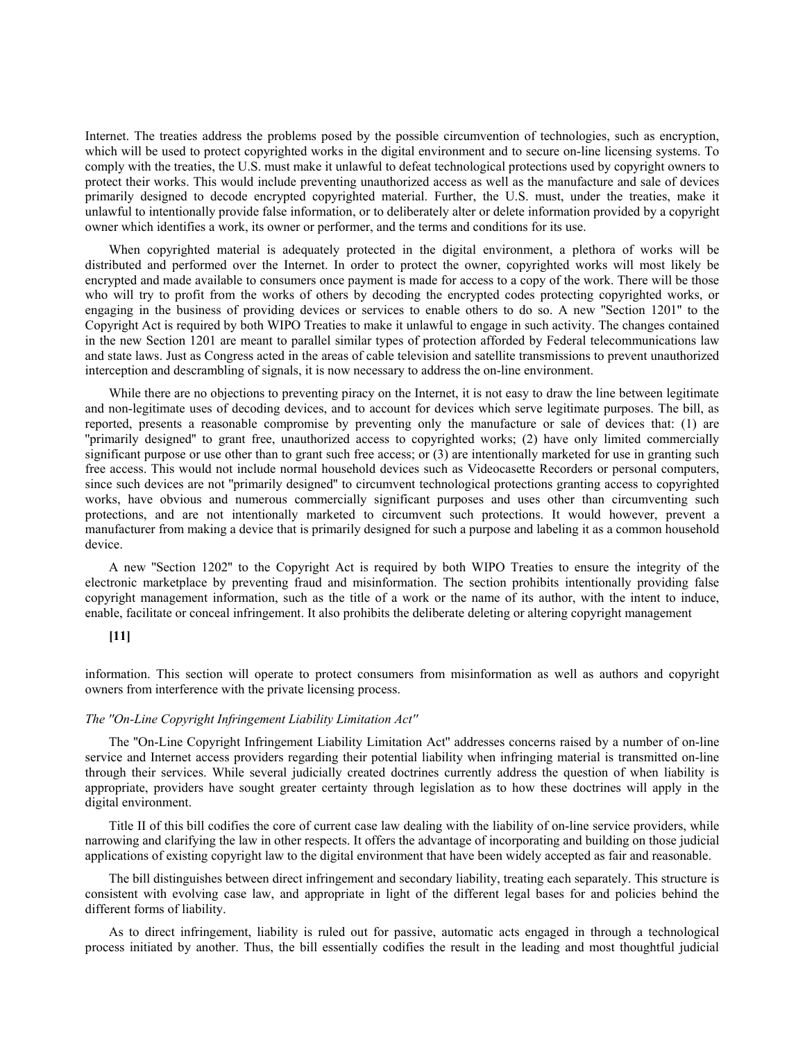Internet. The treaties address the problems posed by the possible circumvention of technologies, such as encryption, which will be used to protect copyrighted works in the digital environment and to secure on-line licensing systems. To comply with the treaties, the U.S. must make it unlawful to defeat technological protections used by copyright owners to protect their works. This would include preventing unauthorized access as well as the manufacture and sale of devices primarily designed to decode encrypted copyrighted material. Further, the U.S. must, under the treaties, make it unlawful to intentionally provide false information, or to deliberately alter or delete information provided by a copyright owner which identifies a work, its owner or performer, and the terms and conditions for its use.

When copyrighted material is adequately protected in the digital environment, a plethora of works will be distributed and performed over the Internet. In order to protect the owner, copyrighted works will most likely be encrypted and made available to consumers once payment is made for access to a copy of the work. There will be those who will try to profit from the works of others by decoding the encrypted codes protecting copyrighted works, or engaging in the business of providing devices or services to enable others to do so. A new ''Section 1201'' to the Copyright Act is required by both WIPO Treaties to make it unlawful to engage in such activity. The changes contained in the new Section 1201 are meant to parallel similar types of protection afforded by Federal telecommunications law and state laws. Just as Congress acted in the areas of cable television and satellite transmissions to prevent unauthorized interception and descrambling of signals, it is now necessary to address the on-line environment.

While there are no objections to preventing piracy on the Internet, it is not easy to draw the line between legitimate and non-legitimate uses of decoding devices, and to account for devices which serve legitimate purposes. The bill, as reported, presents a reasonable compromise by preventing only the manufacture or sale of devices that: (1) are ''primarily designed'' to grant free, unauthorized access to copyrighted works; (2) have only limited commercially significant purpose or use other than to grant such free access; or (3) are intentionally marketed for use in granting such free access. This would not include normal household devices such as Videocasette Recorders or personal computers, since such devices are not ''primarily designed'' to circumvent technological protections granting access to copyrighted works, have obvious and numerous commercially significant purposes and uses other than circumventing such protections, and are not intentionally marketed to circumvent such protections. It would however, prevent a manufacturer from making a device that is primarily designed for such a purpose and labeling it as a common household device.

A new ''Section 1202'' to the Copyright Act is required by both WIPO Treaties to ensure the integrity of the electronic marketplace by preventing fraud and misinformation. The section prohibits intentionally providing false copyright management information, such as the title of a work or the name of its author, with the intent to induce, enable, facilitate or conceal infringement. It also prohibits the deliberate deleting or altering copyright management

# **[11]**

information. This section will operate to protect consumers from misinformation as well as authors and copyright owners from interference with the private licensing process.

#### *The ''On-Line Copyright Infringement Liability Limitation Act''*

The ''On-Line Copyright Infringement Liability Limitation Act'' addresses concerns raised by a number of on-line service and Internet access providers regarding their potential liability when infringing material is transmitted on-line through their services. While several judicially created doctrines currently address the question of when liability is appropriate, providers have sought greater certainty through legislation as to how these doctrines will apply in the digital environment.

Title II of this bill codifies the core of current case law dealing with the liability of on-line service providers, while narrowing and clarifying the law in other respects. It offers the advantage of incorporating and building on those judicial applications of existing copyright law to the digital environment that have been widely accepted as fair and reasonable.

The bill distinguishes between direct infringement and secondary liability, treating each separately. This structure is consistent with evolving case law, and appropriate in light of the different legal bases for and policies behind the different forms of liability.

As to direct infringement, liability is ruled out for passive, automatic acts engaged in through a technological process initiated by another. Thus, the bill essentially codifies the result in the leading and most thoughtful judicial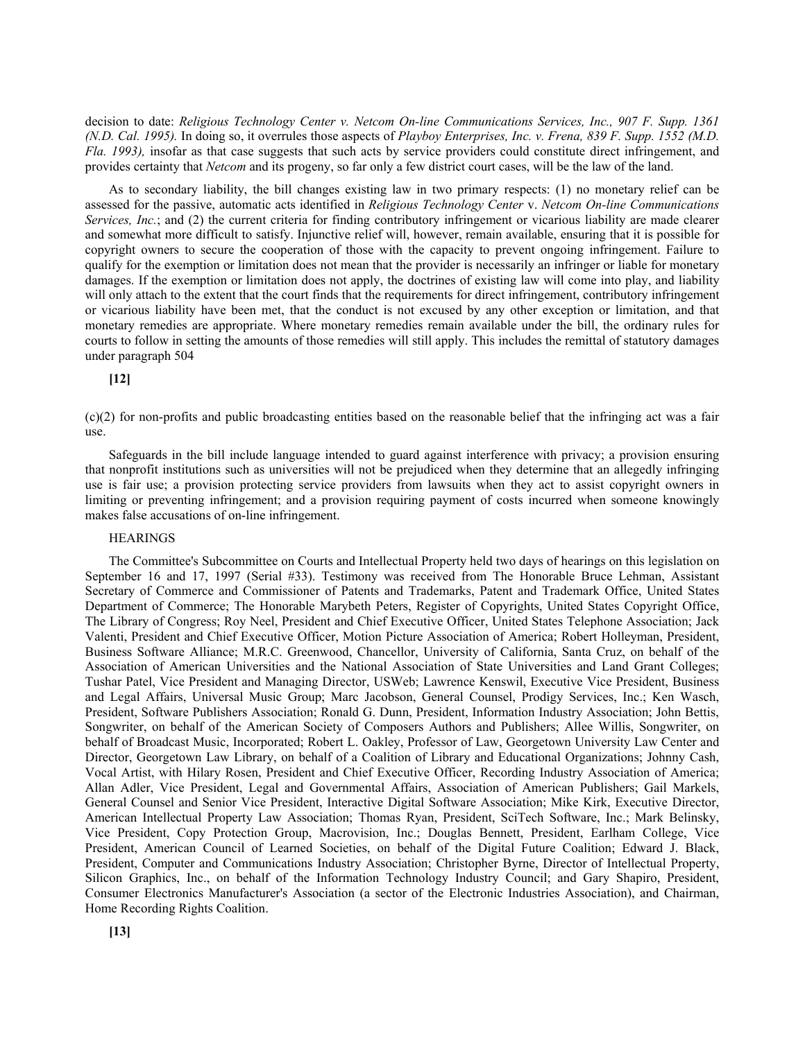decision to date: *Religious Technology Center v. Netcom On-line Communications Services, Inc., 907 F. Supp. 1361 (N.D. Cal. 1995).* In doing so, it overrules those aspects of *Playboy Enterprises, Inc. v. Frena, 839 F. Supp. 1552 (M.D. Fla. 1993),* insofar as that case suggests that such acts by service providers could constitute direct infringement, and provides certainty that *Netcom* and its progeny, so far only a few district court cases, will be the law of the land.

As to secondary liability, the bill changes existing law in two primary respects: (1) no monetary relief can be assessed for the passive, automatic acts identified in *Religious Technology Center* v. *Netcom On-line Communications Services, Inc.*; and (2) the current criteria for finding contributory infringement or vicarious liability are made clearer and somewhat more difficult to satisfy. Injunctive relief will, however, remain available, ensuring that it is possible for copyright owners to secure the cooperation of those with the capacity to prevent ongoing infringement. Failure to qualify for the exemption or limitation does not mean that the provider is necessarily an infringer or liable for monetary damages. If the exemption or limitation does not apply, the doctrines of existing law will come into play, and liability will only attach to the extent that the court finds that the requirements for direct infringement, contributory infringement or vicarious liability have been met, that the conduct is not excused by any other exception or limitation, and that monetary remedies are appropriate. Where monetary remedies remain available under the bill, the ordinary rules for courts to follow in setting the amounts of those remedies will still apply. This includes the remittal of statutory damages under paragraph 504

**[12]**

 $(c)(2)$  for non-profits and public broadcasting entities based on the reasonable belief that the infringing act was a fair use.

Safeguards in the bill include language intended to guard against interference with privacy; a provision ensuring that nonprofit institutions such as universities will not be prejudiced when they determine that an allegedly infringing use is fair use; a provision protecting service providers from lawsuits when they act to assist copyright owners in limiting or preventing infringement; and a provision requiring payment of costs incurred when someone knowingly makes false accusations of on-line infringement.

### HEARINGS

The Committee's Subcommittee on Courts and Intellectual Property held two days of hearings on this legislation on September 16 and 17, 1997 (Serial #33). Testimony was received from The Honorable Bruce Lehman, Assistant Secretary of Commerce and Commissioner of Patents and Trademarks, Patent and Trademark Office, United States Department of Commerce; The Honorable Marybeth Peters, Register of Copyrights, United States Copyright Office, The Library of Congress; Roy Neel, President and Chief Executive Officer, United States Telephone Association; Jack Valenti, President and Chief Executive Officer, Motion Picture Association of America; Robert Holleyman, President, Business Software Alliance; M.R.C. Greenwood, Chancellor, University of California, Santa Cruz, on behalf of the Association of American Universities and the National Association of State Universities and Land Grant Colleges; Tushar Patel, Vice President and Managing Director, USWeb; Lawrence Kenswil, Executive Vice President, Business and Legal Affairs, Universal Music Group; Marc Jacobson, General Counsel, Prodigy Services, Inc.; Ken Wasch, President, Software Publishers Association; Ronald G. Dunn, President, Information Industry Association; John Bettis, Songwriter, on behalf of the American Society of Composers Authors and Publishers; Allee Willis, Songwriter, on behalf of Broadcast Music, Incorporated; Robert L. Oakley, Professor of Law, Georgetown University Law Center and Director, Georgetown Law Library, on behalf of a Coalition of Library and Educational Organizations; Johnny Cash, Vocal Artist, with Hilary Rosen, President and Chief Executive Officer, Recording Industry Association of America; Allan Adler, Vice President, Legal and Governmental Affairs, Association of American Publishers; Gail Markels, General Counsel and Senior Vice President, Interactive Digital Software Association; Mike Kirk, Executive Director, American Intellectual Property Law Association; Thomas Ryan, President, SciTech Software, Inc.; Mark Belinsky, Vice President, Copy Protection Group, Macrovision, Inc.; Douglas Bennett, President, Earlham College, Vice President, American Council of Learned Societies, on behalf of the Digital Future Coalition; Edward J. Black, President, Computer and Communications Industry Association; Christopher Byrne, Director of Intellectual Property, Silicon Graphics, Inc., on behalf of the Information Technology Industry Council; and Gary Shapiro, President, Consumer Electronics Manufacturer's Association (a sector of the Electronic Industries Association), and Chairman, Home Recording Rights Coalition.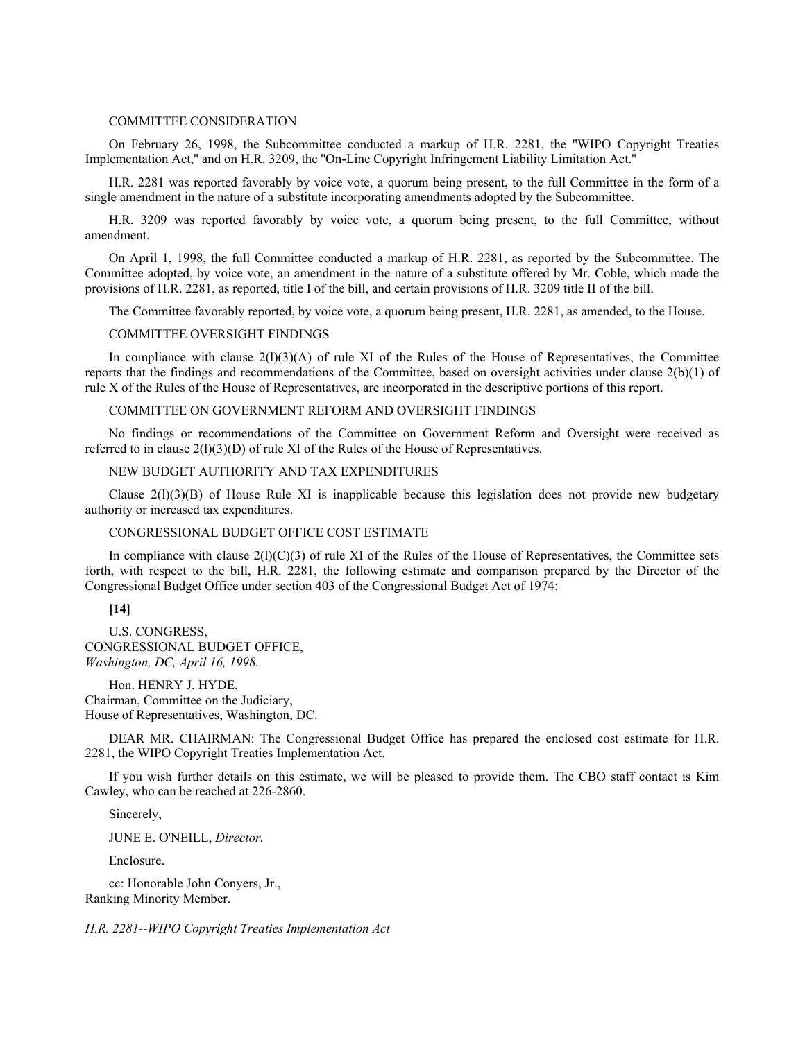#### COMMITTEE CONSIDERATION

On February 26, 1998, the Subcommittee conducted a markup of H.R. 2281, the ''WIPO Copyright Treaties Implementation Act,'' and on H.R. 3209, the ''On-Line Copyright Infringement Liability Limitation Act.''

H.R. 2281 was reported favorably by voice vote, a quorum being present, to the full Committee in the form of a single amendment in the nature of a substitute incorporating amendments adopted by the Subcommittee.

H.R. 3209 was reported favorably by voice vote, a quorum being present, to the full Committee, without amendment.

On April 1, 1998, the full Committee conducted a markup of H.R. 2281, as reported by the Subcommittee. The Committee adopted, by voice vote, an amendment in the nature of a substitute offered by Mr. Coble, which made the provisions of H.R. 2281, as reported, title I of the bill, and certain provisions of H.R. 3209 title II of the bill.

The Committee favorably reported, by voice vote, a quorum being present, H.R. 2281, as amended, to the House.

### COMMITTEE OVERSIGHT FINDINGS

In compliance with clause  $2(1)(3)(A)$  of rule XI of the Rules of the House of Representatives, the Committee reports that the findings and recommendations of the Committee, based on oversight activities under clause 2(b)(1) of rule X of the Rules of the House of Representatives, are incorporated in the descriptive portions of this report.

COMMITTEE ON GOVERNMENT REFORM AND OVERSIGHT FINDINGS

No findings or recommendations of the Committee on Government Reform and Oversight were received as referred to in clause 2(l)(3)(D) of rule XI of the Rules of the House of Representatives.

NEW BUDGET AUTHORITY AND TAX EXPENDITURES

Clause 2(l)(3)(B) of House Rule XI is inapplicable because this legislation does not provide new budgetary authority or increased tax expenditures.

CONGRESSIONAL BUDGET OFFICE COST ESTIMATE

In compliance with clause  $2(1)(C)(3)$  of rule XI of the Rules of the House of Representatives, the Committee sets forth, with respect to the bill, H.R. 2281, the following estimate and comparison prepared by the Director of the Congressional Budget Office under section 403 of the Congressional Budget Act of 1974:

### **[14]**

U.S. CONGRESS, CONGRESSIONAL BUDGET OFFICE, *Washington, DC, April 16, 1998.*

Hon. HENRY J. HYDE, Chairman, Committee on the Judiciary, House of Representatives, Washington, DC.

DEAR MR. CHAIRMAN: The Congressional Budget Office has prepared the enclosed cost estimate for H.R. 2281, the WIPO Copyright Treaties Implementation Act.

If you wish further details on this estimate, we will be pleased to provide them. The CBO staff contact is Kim Cawley, who can be reached at 226-2860.

Sincerely,

JUNE E. O'NEILL, *Director.*

Enclosure.

cc: Honorable John Conyers, Jr., Ranking Minority Member.

*H.R. 2281--WIPO Copyright Treaties Implementation Act*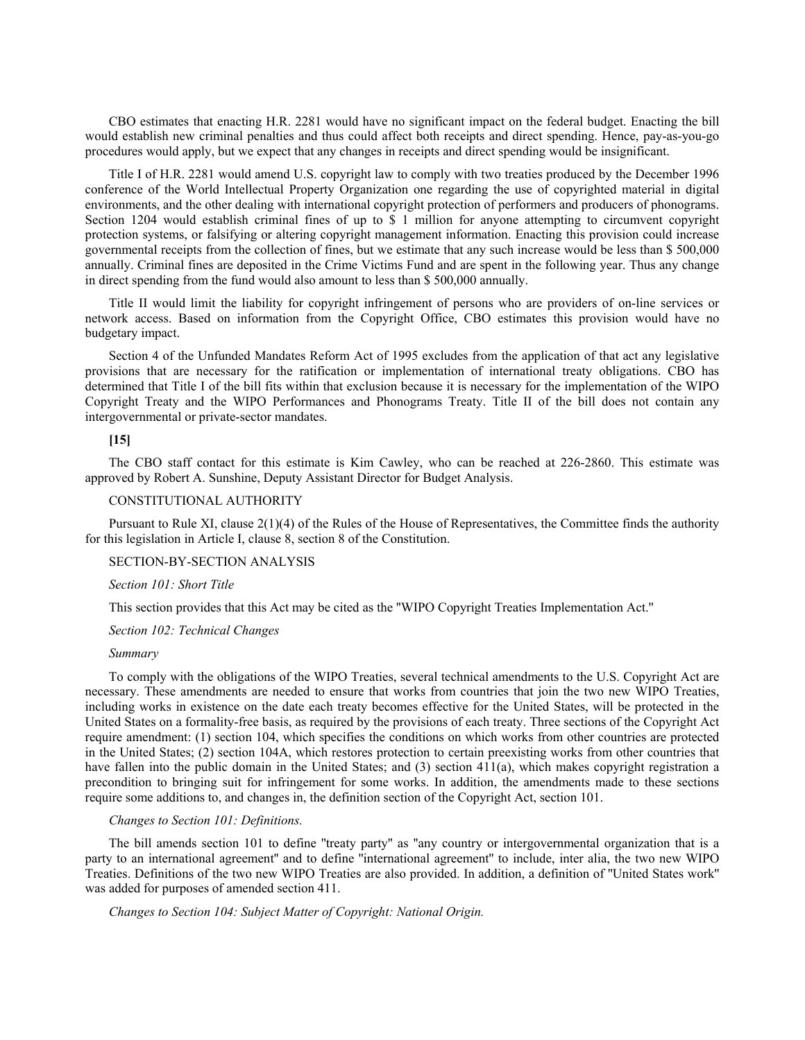CBO estimates that enacting H.R. 2281 would have no significant impact on the federal budget. Enacting the bill would establish new criminal penalties and thus could affect both receipts and direct spending. Hence, pay-as-you-go procedures would apply, but we expect that any changes in receipts and direct spending would be insignificant.

Title I of H.R. 2281 would amend U.S. copyright law to comply with two treaties produced by the December 1996 conference of the World Intellectual Property Organization one regarding the use of copyrighted material in digital environments, and the other dealing with international copyright protection of performers and producers of phonograms. Section 1204 would establish criminal fines of up to \$ 1 million for anyone attempting to circumvent copyright protection systems, or falsifying or altering copyright management information. Enacting this provision could increase governmental receipts from the collection of fines, but we estimate that any such increase would be less than \$ 500,000 annually. Criminal fines are deposited in the Crime Victims Fund and are spent in the following year. Thus any change in direct spending from the fund would also amount to less than \$ 500,000 annually.

Title II would limit the liability for copyright infringement of persons who are providers of on-line services or network access. Based on information from the Copyright Office, CBO estimates this provision would have no budgetary impact.

Section 4 of the Unfunded Mandates Reform Act of 1995 excludes from the application of that act any legislative provisions that are necessary for the ratification or implementation of international treaty obligations. CBO has determined that Title I of the bill fits within that exclusion because it is necessary for the implementation of the WIPO Copyright Treaty and the WIPO Performances and Phonograms Treaty. Title II of the bill does not contain any intergovernmental or private-sector mandates.

# **[15]**

The CBO staff contact for this estimate is Kim Cawley, who can be reached at 226-2860. This estimate was approved by Robert A. Sunshine, Deputy Assistant Director for Budget Analysis.

## CONSTITUTIONAL AUTHORITY

Pursuant to Rule XI, clause 2(1)(4) of the Rules of the House of Representatives, the Committee finds the authority for this legislation in Article I, clause 8, section 8 of the Constitution.

SECTION-BY-SECTION ANALYSIS

## *Section 101: Short Title*

This section provides that this Act may be cited as the ''WIPO Copyright Treaties Implementation Act.''

### *Section 102: Technical Changes*

#### *Summary*

To comply with the obligations of the WIPO Treaties, several technical amendments to the U.S. Copyright Act are necessary. These amendments are needed to ensure that works from countries that join the two new WIPO Treaties, including works in existence on the date each treaty becomes effective for the United States, will be protected in the United States on a formality-free basis, as required by the provisions of each treaty. Three sections of the Copyright Act require amendment: (1) section 104, which specifies the conditions on which works from other countries are protected in the United States; (2) section 104A, which restores protection to certain preexisting works from other countries that have fallen into the public domain in the United States; and (3) section 411(a), which makes copyright registration a precondition to bringing suit for infringement for some works. In addition, the amendments made to these sections require some additions to, and changes in, the definition section of the Copyright Act, section 101.

#### *Changes to Section 101: Definitions.*

The bill amends section 101 to define ''treaty party'' as ''any country or intergovernmental organization that is a party to an international agreement'' and to define ''international agreement'' to include, inter alia, the two new WIPO Treaties. Definitions of the two new WIPO Treaties are also provided. In addition, a definition of ''United States work'' was added for purposes of amended section 411.

### *Changes to Section 104: Subject Matter of Copyright: National Origin.*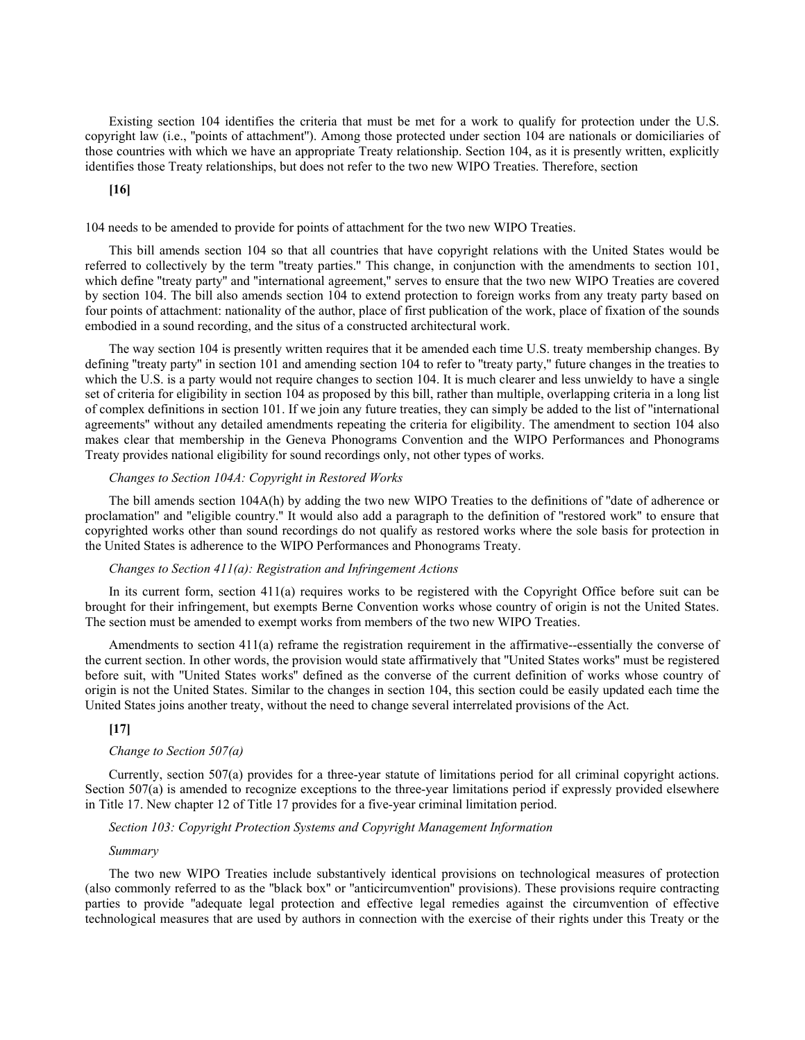Existing section 104 identifies the criteria that must be met for a work to qualify for protection under the U.S. copyright law (i.e., ''points of attachment''). Among those protected under section 104 are nationals or domiciliaries of those countries with which we have an appropriate Treaty relationship. Section 104, as it is presently written, explicitly identifies those Treaty relationships, but does not refer to the two new WIPO Treaties. Therefore, section

**[16]**

104 needs to be amended to provide for points of attachment for the two new WIPO Treaties.

This bill amends section 104 so that all countries that have copyright relations with the United States would be referred to collectively by the term ''treaty parties.'' This change, in conjunction with the amendments to section 101, which define ''treaty party'' and ''international agreement,'' serves to ensure that the two new WIPO Treaties are covered by section 104. The bill also amends section 104 to extend protection to foreign works from any treaty party based on four points of attachment: nationality of the author, place of first publication of the work, place of fixation of the sounds embodied in a sound recording, and the situs of a constructed architectural work.

The way section 104 is presently written requires that it be amended each time U.S. treaty membership changes. By defining ''treaty party'' in section 101 and amending section 104 to refer to ''treaty party,'' future changes in the treaties to which the U.S. is a party would not require changes to section 104. It is much clearer and less unwieldy to have a single set of criteria for eligibility in section 104 as proposed by this bill, rather than multiple, overlapping criteria in a long list of complex definitions in section 101. If we join any future treaties, they can simply be added to the list of ''international agreements'' without any detailed amendments repeating the criteria for eligibility. The amendment to section 104 also makes clear that membership in the Geneva Phonograms Convention and the WIPO Performances and Phonograms Treaty provides national eligibility for sound recordings only, not other types of works.

## *Changes to Section 104A: Copyright in Restored Works*

The bill amends section 104A(h) by adding the two new WIPO Treaties to the definitions of ''date of adherence or proclamation'' and ''eligible country.'' It would also add a paragraph to the definition of ''restored work'' to ensure that copyrighted works other than sound recordings do not qualify as restored works where the sole basis for protection in the United States is adherence to the WIPO Performances and Phonograms Treaty.

## *Changes to Section 411(a): Registration and Infringement Actions*

In its current form, section 411(a) requires works to be registered with the Copyright Office before suit can be brought for their infringement, but exempts Berne Convention works whose country of origin is not the United States. The section must be amended to exempt works from members of the two new WIPO Treaties.

Amendments to section 411(a) reframe the registration requirement in the affirmative--essentially the converse of the current section. In other words, the provision would state affirmatively that ''United States works'' must be registered before suit, with ''United States works'' defined as the converse of the current definition of works whose country of origin is not the United States. Similar to the changes in section 104, this section could be easily updated each time the United States joins another treaty, without the need to change several interrelated provisions of the Act.

**[17]**

### *Change to Section 507(a)*

Currently, section 507(a) provides for a three-year statute of limitations period for all criminal copyright actions. Section 507(a) is amended to recognize exceptions to the three-year limitations period if expressly provided elsewhere in Title 17. New chapter 12 of Title 17 provides for a five-year criminal limitation period.

## *Section 103: Copyright Protection Systems and Copyright Management Information*

### *Summary*

The two new WIPO Treaties include substantively identical provisions on technological measures of protection (also commonly referred to as the ''black box'' or ''anticircumvention'' provisions). These provisions require contracting parties to provide ''adequate legal protection and effective legal remedies against the circumvention of effective technological measures that are used by authors in connection with the exercise of their rights under this Treaty or the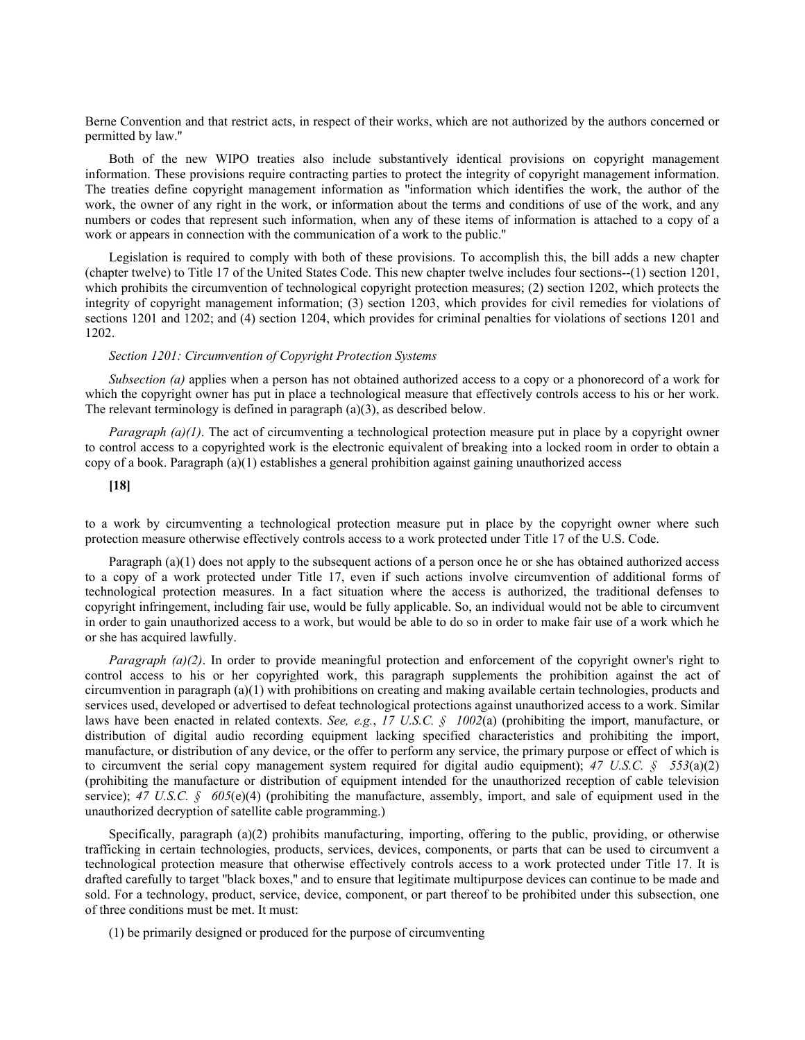Berne Convention and that restrict acts, in respect of their works, which are not authorized by the authors concerned or permitted by law.''

Both of the new WIPO treaties also include substantively identical provisions on copyright management information. These provisions require contracting parties to protect the integrity of copyright management information. The treaties define copyright management information as ''information which identifies the work, the author of the work, the owner of any right in the work, or information about the terms and conditions of use of the work, and any numbers or codes that represent such information, when any of these items of information is attached to a copy of a work or appears in connection with the communication of a work to the public.''

Legislation is required to comply with both of these provisions. To accomplish this, the bill adds a new chapter (chapter twelve) to Title 17 of the United States Code. This new chapter twelve includes four sections--(1) section 1201, which prohibits the circumvention of technological copyright protection measures; (2) section 1202, which protects the integrity of copyright management information; (3) section 1203, which provides for civil remedies for violations of sections 1201 and 1202; and (4) section 1204, which provides for criminal penalties for violations of sections 1201 and 1202.

### *Section 1201: Circumvention of Copyright Protection Systems*

*Subsection (a)* applies when a person has not obtained authorized access to a copy or a phonorecord of a work for which the copyright owner has put in place a technological measure that effectively controls access to his or her work. The relevant terminology is defined in paragraph (a)(3), as described below.

*Paragraph (a)(1)*. The act of circumventing a technological protection measure put in place by a copyright owner to control access to a copyrighted work is the electronic equivalent of breaking into a locked room in order to obtain a copy of a book. Paragraph (a)(1) establishes a general prohibition against gaining unauthorized access

# **[18]**

to a work by circumventing a technological protection measure put in place by the copyright owner where such protection measure otherwise effectively controls access to a work protected under Title 17 of the U.S. Code.

Paragraph (a)(1) does not apply to the subsequent actions of a person once he or she has obtained authorized access to a copy of a work protected under Title 17, even if such actions involve circumvention of additional forms of technological protection measures. In a fact situation where the access is authorized, the traditional defenses to copyright infringement, including fair use, would be fully applicable. So, an individual would not be able to circumvent in order to gain unauthorized access to a work, but would be able to do so in order to make fair use of a work which he or she has acquired lawfully.

*Paragraph (a)(2)*. In order to provide meaningful protection and enforcement of the copyright owner's right to control access to his or her copyrighted work, this paragraph supplements the prohibition against the act of circumvention in paragraph (a)(1) with prohibitions on creating and making available certain technologies, products and services used, developed or advertised to defeat technological protections against unauthorized access to a work. Similar laws have been enacted in related contexts. *See, e.g.*, *17 U.S.C. § 1002*(a) (prohibiting the import, manufacture, or distribution of digital audio recording equipment lacking specified characteristics and prohibiting the import, manufacture, or distribution of any device, or the offer to perform any service, the primary purpose or effect of which is to circumvent the serial copy management system required for digital audio equipment);  $47 \text{ U.S.C.}$   $\S$   $553(a)(2)$ (prohibiting the manufacture or distribution of equipment intended for the unauthorized reception of cable television service); 47 U.S.C.  $\frac{6}{5}$  605(e)(4) (prohibiting the manufacture, assembly, import, and sale of equipment used in the unauthorized decryption of satellite cable programming.)

Specifically, paragraph (a)(2) prohibits manufacturing, importing, offering to the public, providing, or otherwise trafficking in certain technologies, products, services, devices, components, or parts that can be used to circumvent a technological protection measure that otherwise effectively controls access to a work protected under Title 17. It is drafted carefully to target ''black boxes,'' and to ensure that legitimate multipurpose devices can continue to be made and sold. For a technology, product, service, device, component, or part thereof to be prohibited under this subsection, one of three conditions must be met. It must:

(1) be primarily designed or produced for the purpose of circumventing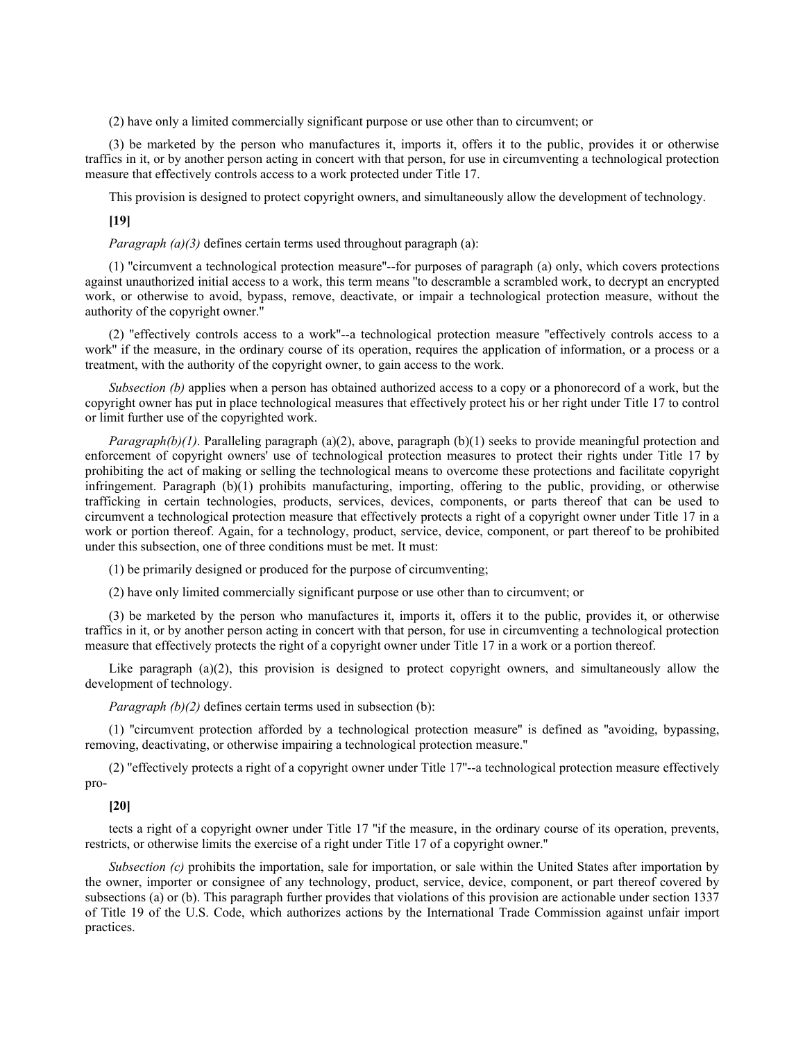(2) have only a limited commercially significant purpose or use other than to circumvent; or

(3) be marketed by the person who manufactures it, imports it, offers it to the public, provides it or otherwise traffics in it, or by another person acting in concert with that person, for use in circumventing a technological protection measure that effectively controls access to a work protected under Title 17.

This provision is designed to protect copyright owners, and simultaneously allow the development of technology.

**[19]**

*Paragraph (a)(3)* defines certain terms used throughout paragraph (a):

(1) ''circumvent a technological protection measure''--for purposes of paragraph (a) only, which covers protections against unauthorized initial access to a work, this term means ''to descramble a scrambled work, to decrypt an encrypted work, or otherwise to avoid, bypass, remove, deactivate, or impair a technological protection measure, without the authority of the copyright owner.''

(2) ''effectively controls access to a work''--a technological protection measure ''effectively controls access to a work'' if the measure, in the ordinary course of its operation, requires the application of information, or a process or a treatment, with the authority of the copyright owner, to gain access to the work.

*Subsection (b)* applies when a person has obtained authorized access to a copy or a phonorecord of a work, but the copyright owner has put in place technological measures that effectively protect his or her right under Title 17 to control or limit further use of the copyrighted work.

*Paragraph(b)(1)*. Paralleling paragraph (a)(2), above, paragraph (b)(1) seeks to provide meaningful protection and enforcement of copyright owners' use of technological protection measures to protect their rights under Title 17 by prohibiting the act of making or selling the technological means to overcome these protections and facilitate copyright infringement. Paragraph (b)(1) prohibits manufacturing, importing, offering to the public, providing, or otherwise trafficking in certain technologies, products, services, devices, components, or parts thereof that can be used to circumvent a technological protection measure that effectively protects a right of a copyright owner under Title 17 in a work or portion thereof. Again, for a technology, product, service, device, component, or part thereof to be prohibited under this subsection, one of three conditions must be met. It must:

(1) be primarily designed or produced for the purpose of circumventing;

(2) have only limited commercially significant purpose or use other than to circumvent; or

(3) be marketed by the person who manufactures it, imports it, offers it to the public, provides it, or otherwise traffics in it, or by another person acting in concert with that person, for use in circumventing a technological protection measure that effectively protects the right of a copyright owner under Title 17 in a work or a portion thereof.

Like paragraph (a)(2), this provision is designed to protect copyright owners, and simultaneously allow the development of technology.

*Paragraph (b)(2)* defines certain terms used in subsection (b):

(1) ''circumvent protection afforded by a technological protection measure'' is defined as ''avoiding, bypassing, removing, deactivating, or otherwise impairing a technological protection measure.''

(2) ''effectively protects a right of a copyright owner under Title 17''--a technological protection measure effectively pro-

## **[20]**

tects a right of a copyright owner under Title 17 ''if the measure, in the ordinary course of its operation, prevents, restricts, or otherwise limits the exercise of a right under Title 17 of a copyright owner.''

*Subsection (c)* prohibits the importation, sale for importation, or sale within the United States after importation by the owner, importer or consignee of any technology, product, service, device, component, or part thereof covered by subsections (a) or (b). This paragraph further provides that violations of this provision are actionable under section 1337 of Title 19 of the U.S. Code, which authorizes actions by the International Trade Commission against unfair import practices.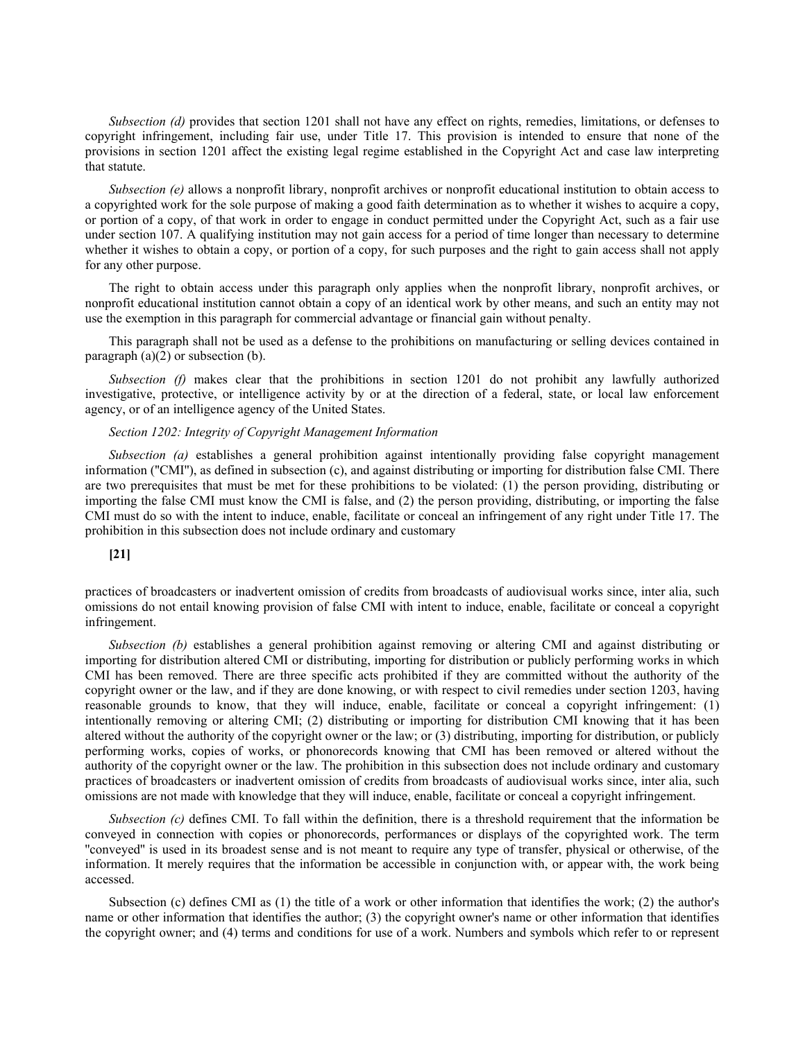*Subsection (d)* provides that section 1201 shall not have any effect on rights, remedies, limitations, or defenses to copyright infringement, including fair use, under Title 17. This provision is intended to ensure that none of the provisions in section 1201 affect the existing legal regime established in the Copyright Act and case law interpreting that statute.

*Subsection (e)* allows a nonprofit library, nonprofit archives or nonprofit educational institution to obtain access to a copyrighted work for the sole purpose of making a good faith determination as to whether it wishes to acquire a copy, or portion of a copy, of that work in order to engage in conduct permitted under the Copyright Act, such as a fair use under section 107. A qualifying institution may not gain access for a period of time longer than necessary to determine whether it wishes to obtain a copy, or portion of a copy, for such purposes and the right to gain access shall not apply for any other purpose.

The right to obtain access under this paragraph only applies when the nonprofit library, nonprofit archives, or nonprofit educational institution cannot obtain a copy of an identical work by other means, and such an entity may not use the exemption in this paragraph for commercial advantage or financial gain without penalty.

This paragraph shall not be used as a defense to the prohibitions on manufacturing or selling devices contained in paragraph  $(a)(2)$  or subsection  $(b)$ .

*Subsection (f)* makes clear that the prohibitions in section 1201 do not prohibit any lawfully authorized investigative, protective, or intelligence activity by or at the direction of a federal, state, or local law enforcement agency, or of an intelligence agency of the United States.

## *Section 1202: Integrity of Copyright Management Information*

*Subsection (a)* establishes a general prohibition against intentionally providing false copyright management information (''CMI''), as defined in subsection (c), and against distributing or importing for distribution false CMI. There are two prerequisites that must be met for these prohibitions to be violated: (1) the person providing, distributing or importing the false CMI must know the CMI is false, and (2) the person providing, distributing, or importing the false CMI must do so with the intent to induce, enable, facilitate or conceal an infringement of any right under Title 17. The prohibition in this subsection does not include ordinary and customary

**[21]**

practices of broadcasters or inadvertent omission of credits from broadcasts of audiovisual works since, inter alia, such omissions do not entail knowing provision of false CMI with intent to induce, enable, facilitate or conceal a copyright infringement.

*Subsection (b)* establishes a general prohibition against removing or altering CMI and against distributing or importing for distribution altered CMI or distributing, importing for distribution or publicly performing works in which CMI has been removed. There are three specific acts prohibited if they are committed without the authority of the copyright owner or the law, and if they are done knowing, or with respect to civil remedies under section 1203, having reasonable grounds to know, that they will induce, enable, facilitate or conceal a copyright infringement: (1) intentionally removing or altering CMI; (2) distributing or importing for distribution CMI knowing that it has been altered without the authority of the copyright owner or the law; or (3) distributing, importing for distribution, or publicly performing works, copies of works, or phonorecords knowing that CMI has been removed or altered without the authority of the copyright owner or the law. The prohibition in this subsection does not include ordinary and customary practices of broadcasters or inadvertent omission of credits from broadcasts of audiovisual works since, inter alia, such omissions are not made with knowledge that they will induce, enable, facilitate or conceal a copyright infringement.

*Subsection (c)* defines CMI. To fall within the definition, there is a threshold requirement that the information be conveyed in connection with copies or phonorecords, performances or displays of the copyrighted work. The term ''conveyed'' is used in its broadest sense and is not meant to require any type of transfer, physical or otherwise, of the information. It merely requires that the information be accessible in conjunction with, or appear with, the work being accessed.

Subsection (c) defines CMI as (1) the title of a work or other information that identifies the work; (2) the author's name or other information that identifies the author; (3) the copyright owner's name or other information that identifies the copyright owner; and (4) terms and conditions for use of a work. Numbers and symbols which refer to or represent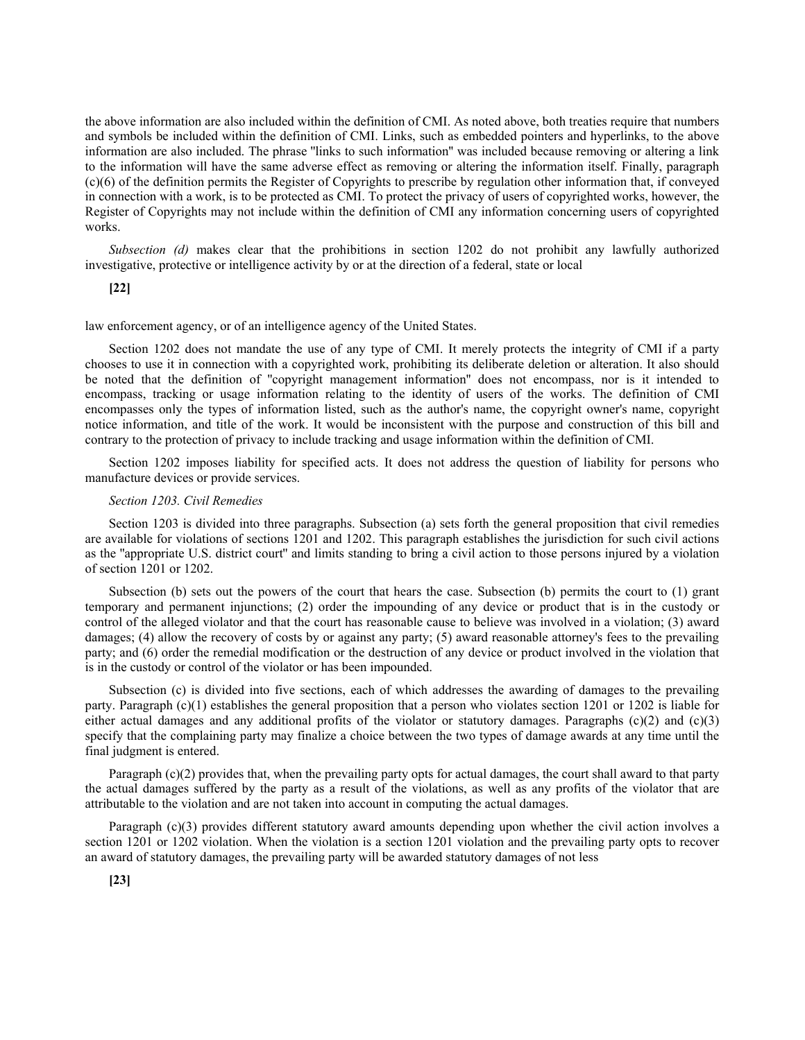the above information are also included within the definition of CMI. As noted above, both treaties require that numbers and symbols be included within the definition of CMI. Links, such as embedded pointers and hyperlinks, to the above information are also included. The phrase ''links to such information'' was included because removing or altering a link to the information will have the same adverse effect as removing or altering the information itself. Finally, paragraph (c)(6) of the definition permits the Register of Copyrights to prescribe by regulation other information that, if conveyed in connection with a work, is to be protected as CMI. To protect the privacy of users of copyrighted works, however, the Register of Copyrights may not include within the definition of CMI any information concerning users of copyrighted works.

*Subsection (d)* makes clear that the prohibitions in section 1202 do not prohibit any lawfully authorized investigative, protective or intelligence activity by or at the direction of a federal, state or local

**[22]**

## law enforcement agency, or of an intelligence agency of the United States.

Section 1202 does not mandate the use of any type of CMI. It merely protects the integrity of CMI if a party chooses to use it in connection with a copyrighted work, prohibiting its deliberate deletion or alteration. It also should be noted that the definition of ''copyright management information'' does not encompass, nor is it intended to encompass, tracking or usage information relating to the identity of users of the works. The definition of CMI encompasses only the types of information listed, such as the author's name, the copyright owner's name, copyright notice information, and title of the work. It would be inconsistent with the purpose and construction of this bill and contrary to the protection of privacy to include tracking and usage information within the definition of CMI.

Section 1202 imposes liability for specified acts. It does not address the question of liability for persons who manufacture devices or provide services.

### *Section 1203. Civil Remedies*

Section 1203 is divided into three paragraphs. Subsection (a) sets forth the general proposition that civil remedies are available for violations of sections 1201 and 1202. This paragraph establishes the jurisdiction for such civil actions as the ''appropriate U.S. district court'' and limits standing to bring a civil action to those persons injured by a violation of section 1201 or 1202.

Subsection (b) sets out the powers of the court that hears the case. Subsection (b) permits the court to (1) grant temporary and permanent injunctions; (2) order the impounding of any device or product that is in the custody or control of the alleged violator and that the court has reasonable cause to believe was involved in a violation; (3) award damages; (4) allow the recovery of costs by or against any party; (5) award reasonable attorney's fees to the prevailing party; and (6) order the remedial modification or the destruction of any device or product involved in the violation that is in the custody or control of the violator or has been impounded.

Subsection (c) is divided into five sections, each of which addresses the awarding of damages to the prevailing party. Paragraph (c)(1) establishes the general proposition that a person who violates section 1201 or 1202 is liable for either actual damages and any additional profits of the violator or statutory damages. Paragraphs  $(c)(2)$  and  $(c)(3)$ specify that the complaining party may finalize a choice between the two types of damage awards at any time until the final judgment is entered.

Paragraph (c)(2) provides that, when the prevailing party opts for actual damages, the court shall award to that party the actual damages suffered by the party as a result of the violations, as well as any profits of the violator that are attributable to the violation and are not taken into account in computing the actual damages.

Paragraph (c)(3) provides different statutory award amounts depending upon whether the civil action involves a section 1201 or 1202 violation. When the violation is a section 1201 violation and the prevailing party opts to recover an award of statutory damages, the prevailing party will be awarded statutory damages of not less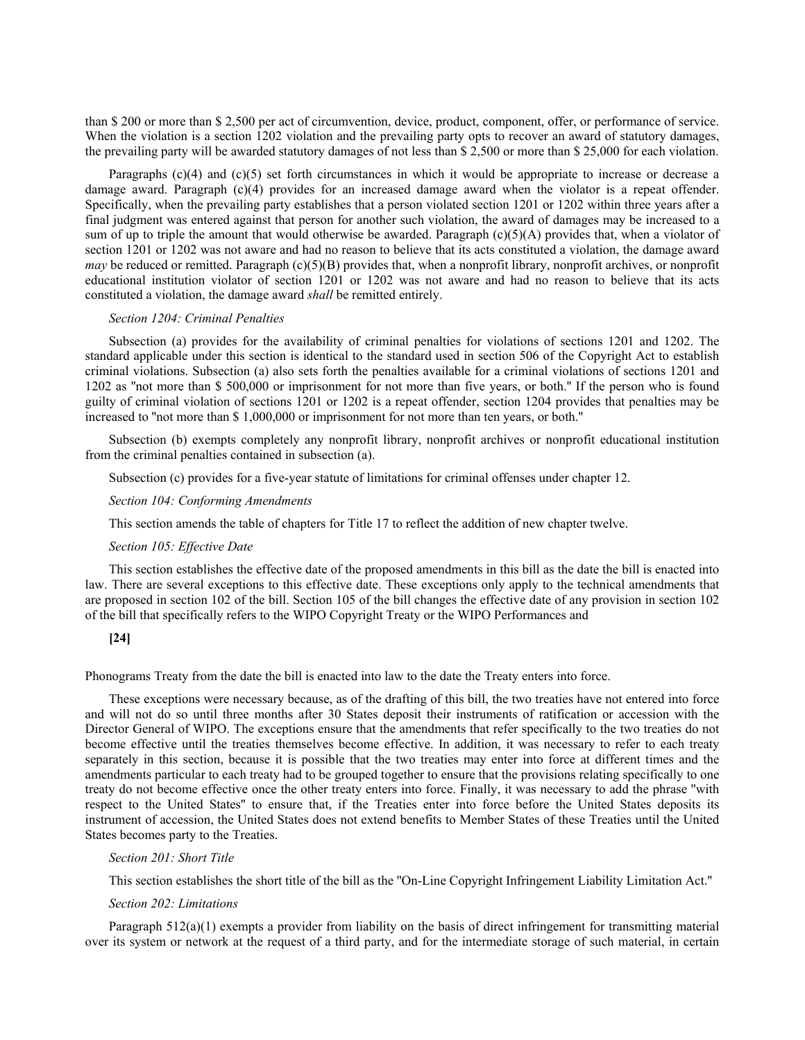than \$ 200 or more than \$ 2,500 per act of circumvention, device, product, component, offer, or performance of service. When the violation is a section 1202 violation and the prevailing party opts to recover an award of statutory damages, the prevailing party will be awarded statutory damages of not less than \$ 2,500 or more than \$ 25,000 for each violation.

Paragraphs (c)(4) and (c)(5) set forth circumstances in which it would be appropriate to increase or decrease a damage award. Paragraph (c)(4) provides for an increased damage award when the violator is a repeat offender. Specifically, when the prevailing party establishes that a person violated section 1201 or 1202 within three years after a final judgment was entered against that person for another such violation, the award of damages may be increased to a sum of up to triple the amount that would otherwise be awarded. Paragraph  $(c)(5)(A)$  provides that, when a violator of section 1201 or 1202 was not aware and had no reason to believe that its acts constituted a violation, the damage award *may* be reduced or remitted. Paragraph (c)(5)(B) provides that, when a nonprofit library, nonprofit archives, or nonprofit educational institution violator of section 1201 or 1202 was not aware and had no reason to believe that its acts constituted a violation, the damage award *shall* be remitted entirely.

## *Section 1204: Criminal Penalties*

Subsection (a) provides for the availability of criminal penalties for violations of sections 1201 and 1202. The standard applicable under this section is identical to the standard used in section 506 of the Copyright Act to establish criminal violations. Subsection (a) also sets forth the penalties available for a criminal violations of sections 1201 and 1202 as ''not more than \$ 500,000 or imprisonment for not more than five years, or both.'' If the person who is found guilty of criminal violation of sections 1201 or 1202 is a repeat offender, section 1204 provides that penalties may be increased to ''not more than \$ 1,000,000 or imprisonment for not more than ten years, or both.''

Subsection (b) exempts completely any nonprofit library, nonprofit archives or nonprofit educational institution from the criminal penalties contained in subsection (a).

Subsection (c) provides for a five-year statute of limitations for criminal offenses under chapter 12.

*Section 104: Conforming Amendments*

This section amends the table of chapters for Title 17 to reflect the addition of new chapter twelve.

#### *Section 105: Effective Date*

This section establishes the effective date of the proposed amendments in this bill as the date the bill is enacted into law. There are several exceptions to this effective date. These exceptions only apply to the technical amendments that are proposed in section 102 of the bill. Section 105 of the bill changes the effective date of any provision in section 102 of the bill that specifically refers to the WIPO Copyright Treaty or the WIPO Performances and

# **[24]**

Phonograms Treaty from the date the bill is enacted into law to the date the Treaty enters into force.

These exceptions were necessary because, as of the drafting of this bill, the two treaties have not entered into force and will not do so until three months after 30 States deposit their instruments of ratification or accession with the Director General of WIPO. The exceptions ensure that the amendments that refer specifically to the two treaties do not become effective until the treaties themselves become effective. In addition, it was necessary to refer to each treaty separately in this section, because it is possible that the two treaties may enter into force at different times and the amendments particular to each treaty had to be grouped together to ensure that the provisions relating specifically to one treaty do not become effective once the other treaty enters into force. Finally, it was necessary to add the phrase ''with respect to the United States'' to ensure that, if the Treaties enter into force before the United States deposits its instrument of accession, the United States does not extend benefits to Member States of these Treaties until the United States becomes party to the Treaties.

#### *Section 201: Short Title*

This section establishes the short title of the bill as the ''On-Line Copyright Infringement Liability Limitation Act.''

#### *Section 202: Limitations*

Paragraph 512(a)(1) exempts a provider from liability on the basis of direct infringement for transmitting material over its system or network at the request of a third party, and for the intermediate storage of such material, in certain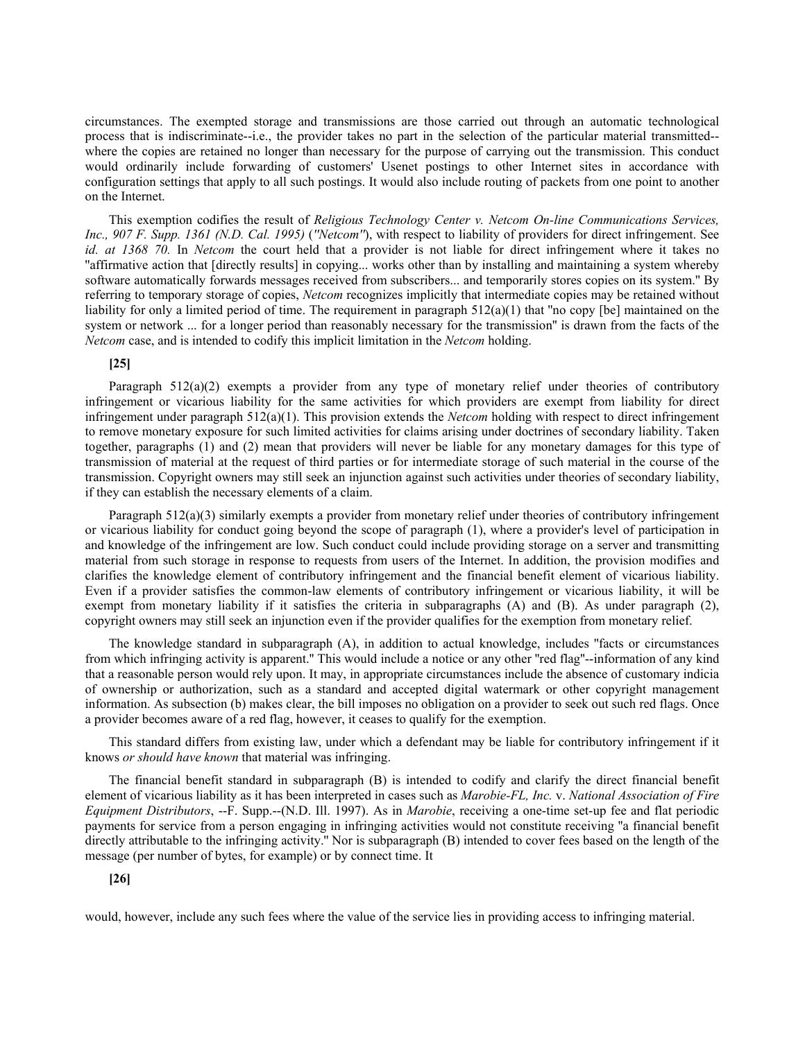circumstances. The exempted storage and transmissions are those carried out through an automatic technological process that is indiscriminate--i.e., the provider takes no part in the selection of the particular material transmitted- where the copies are retained no longer than necessary for the purpose of carrying out the transmission. This conduct would ordinarily include forwarding of customers' Usenet postings to other Internet sites in accordance with configuration settings that apply to all such postings. It would also include routing of packets from one point to another on the Internet.

This exemption codifies the result of *Religious Technology Center v. Netcom On-line Communications Services, Inc., 907 F. Supp. 1361 (N.D. Cal. 1995)* (*''Netcom''*), with respect to liability of providers for direct infringement. See *id. at 1368 70.* In *Netcom* the court held that a provider is not liable for direct infringement where it takes no ''affirmative action that [directly results] in copying... works other than by installing and maintaining a system whereby software automatically forwards messages received from subscribers... and temporarily stores copies on its system.'' By referring to temporary storage of copies, *Netcom* recognizes implicitly that intermediate copies may be retained without liability for only a limited period of time. The requirement in paragraph  $512(a)(1)$  that "no copy [be] maintained on the system or network ... for a longer period than reasonably necessary for the transmission'' is drawn from the facts of the *Netcom* case, and is intended to codify this implicit limitation in the *Netcom* holding.

## **[25]**

Paragraph 512(a)(2) exempts a provider from any type of monetary relief under theories of contributory infringement or vicarious liability for the same activities for which providers are exempt from liability for direct infringement under paragraph 512(a)(1). This provision extends the *Netcom* holding with respect to direct infringement to remove monetary exposure for such limited activities for claims arising under doctrines of secondary liability. Taken together, paragraphs (1) and (2) mean that providers will never be liable for any monetary damages for this type of transmission of material at the request of third parties or for intermediate storage of such material in the course of the transmission. Copyright owners may still seek an injunction against such activities under theories of secondary liability, if they can establish the necessary elements of a claim.

Paragraph 512(a)(3) similarly exempts a provider from monetary relief under theories of contributory infringement or vicarious liability for conduct going beyond the scope of paragraph (1), where a provider's level of participation in and knowledge of the infringement are low. Such conduct could include providing storage on a server and transmitting material from such storage in response to requests from users of the Internet. In addition, the provision modifies and clarifies the knowledge element of contributory infringement and the financial benefit element of vicarious liability. Even if a provider satisfies the common-law elements of contributory infringement or vicarious liability, it will be exempt from monetary liability if it satisfies the criteria in subparagraphs (A) and (B). As under paragraph (2), copyright owners may still seek an injunction even if the provider qualifies for the exemption from monetary relief.

The knowledge standard in subparagraph (A), in addition to actual knowledge, includes ''facts or circumstances from which infringing activity is apparent.'' This would include a notice or any other ''red flag''--information of any kind that a reasonable person would rely upon. It may, in appropriate circumstances include the absence of customary indicia of ownership or authorization, such as a standard and accepted digital watermark or other copyright management information. As subsection (b) makes clear, the bill imposes no obligation on a provider to seek out such red flags. Once a provider becomes aware of a red flag, however, it ceases to qualify for the exemption.

This standard differs from existing law, under which a defendant may be liable for contributory infringement if it knows *or should have known* that material was infringing.

The financial benefit standard in subparagraph (B) is intended to codify and clarify the direct financial benefit element of vicarious liability as it has been interpreted in cases such as *Marobie-FL, Inc.* v. *National Association of Fire Equipment Distributors*, --F. Supp.--(N.D. Ill. 1997). As in *Marobie*, receiving a one-time set-up fee and flat periodic payments for service from a person engaging in infringing activities would not constitute receiving ''a financial benefit directly attributable to the infringing activity.'' Nor is subparagraph (B) intended to cover fees based on the length of the message (per number of bytes, for example) or by connect time. It

**[26]**

would, however, include any such fees where the value of the service lies in providing access to infringing material.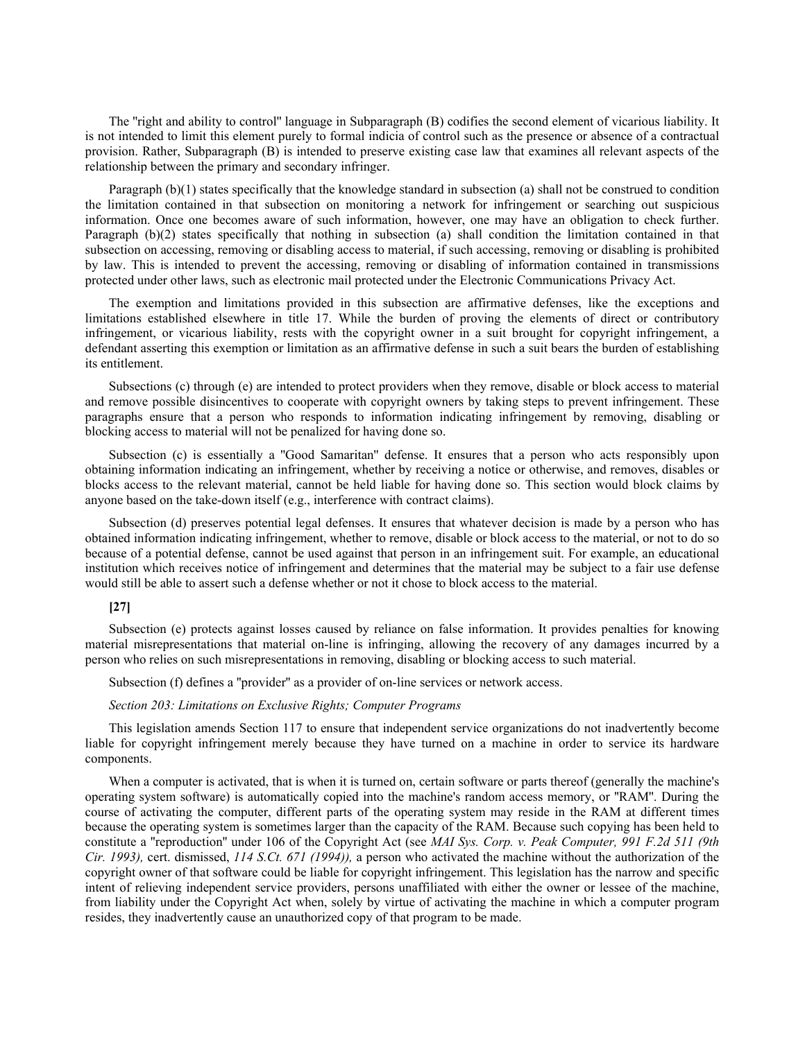The ''right and ability to control'' language in Subparagraph (B) codifies the second element of vicarious liability. It is not intended to limit this element purely to formal indicia of control such as the presence or absence of a contractual provision. Rather, Subparagraph (B) is intended to preserve existing case law that examines all relevant aspects of the relationship between the primary and secondary infringer.

Paragraph (b)(1) states specifically that the knowledge standard in subsection (a) shall not be construed to condition the limitation contained in that subsection on monitoring a network for infringement or searching out suspicious information. Once one becomes aware of such information, however, one may have an obligation to check further. Paragraph (b)(2) states specifically that nothing in subsection (a) shall condition the limitation contained in that subsection on accessing, removing or disabling access to material, if such accessing, removing or disabling is prohibited by law. This is intended to prevent the accessing, removing or disabling of information contained in transmissions protected under other laws, such as electronic mail protected under the Electronic Communications Privacy Act.

The exemption and limitations provided in this subsection are affirmative defenses, like the exceptions and limitations established elsewhere in title 17. While the burden of proving the elements of direct or contributory infringement, or vicarious liability, rests with the copyright owner in a suit brought for copyright infringement, a defendant asserting this exemption or limitation as an affirmative defense in such a suit bears the burden of establishing its entitlement.

Subsections (c) through (e) are intended to protect providers when they remove, disable or block access to material and remove possible disincentives to cooperate with copyright owners by taking steps to prevent infringement. These paragraphs ensure that a person who responds to information indicating infringement by removing, disabling or blocking access to material will not be penalized for having done so.

Subsection (c) is essentially a ''Good Samaritan'' defense. It ensures that a person who acts responsibly upon obtaining information indicating an infringement, whether by receiving a notice or otherwise, and removes, disables or blocks access to the relevant material, cannot be held liable for having done so. This section would block claims by anyone based on the take-down itself (e.g., interference with contract claims).

Subsection (d) preserves potential legal defenses. It ensures that whatever decision is made by a person who has obtained information indicating infringement, whether to remove, disable or block access to the material, or not to do so because of a potential defense, cannot be used against that person in an infringement suit. For example, an educational institution which receives notice of infringement and determines that the material may be subject to a fair use defense would still be able to assert such a defense whether or not it chose to block access to the material.

## **[27]**

Subsection (e) protects against losses caused by reliance on false information. It provides penalties for knowing material misrepresentations that material on-line is infringing, allowing the recovery of any damages incurred by a person who relies on such misrepresentations in removing, disabling or blocking access to such material.

Subsection (f) defines a ''provider'' as a provider of on-line services or network access.

#### *Section 203: Limitations on Exclusive Rights; Computer Programs*

This legislation amends Section 117 to ensure that independent service organizations do not inadvertently become liable for copyright infringement merely because they have turned on a machine in order to service its hardware components.

When a computer is activated, that is when it is turned on, certain software or parts thereof (generally the machine's operating system software) is automatically copied into the machine's random access memory, or ''RAM''. During the course of activating the computer, different parts of the operating system may reside in the RAM at different times because the operating system is sometimes larger than the capacity of the RAM. Because such copying has been held to constitute a ''reproduction'' under 106 of the Copyright Act (see *MAI Sys. Corp. v. Peak Computer, 991 F.2d 511 (9th Cir. 1993),* cert. dismissed, *114 S.Ct. 671 (1994)),* a person who activated the machine without the authorization of the copyright owner of that software could be liable for copyright infringement. This legislation has the narrow and specific intent of relieving independent service providers, persons unaffiliated with either the owner or lessee of the machine, from liability under the Copyright Act when, solely by virtue of activating the machine in which a computer program resides, they inadvertently cause an unauthorized copy of that program to be made.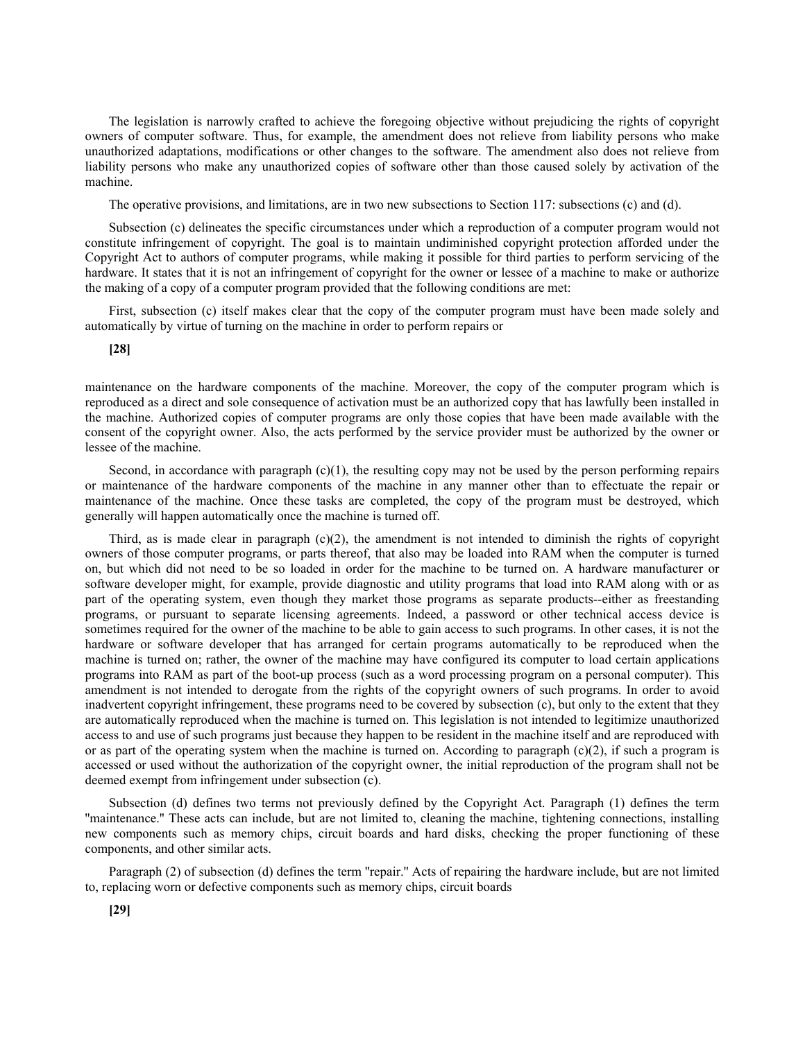The legislation is narrowly crafted to achieve the foregoing objective without prejudicing the rights of copyright owners of computer software. Thus, for example, the amendment does not relieve from liability persons who make unauthorized adaptations, modifications or other changes to the software. The amendment also does not relieve from liability persons who make any unauthorized copies of software other than those caused solely by activation of the machine.

The operative provisions, and limitations, are in two new subsections to Section 117: subsections (c) and (d).

Subsection (c) delineates the specific circumstances under which a reproduction of a computer program would not constitute infringement of copyright. The goal is to maintain undiminished copyright protection afforded under the Copyright Act to authors of computer programs, while making it possible for third parties to perform servicing of the hardware. It states that it is not an infringement of copyright for the owner or lessee of a machine to make or authorize the making of a copy of a computer program provided that the following conditions are met:

First, subsection (c) itself makes clear that the copy of the computer program must have been made solely and automatically by virtue of turning on the machine in order to perform repairs or

**[28]**

maintenance on the hardware components of the machine. Moreover, the copy of the computer program which is reproduced as a direct and sole consequence of activation must be an authorized copy that has lawfully been installed in the machine. Authorized copies of computer programs are only those copies that have been made available with the consent of the copyright owner. Also, the acts performed by the service provider must be authorized by the owner or lessee of the machine.

Second, in accordance with paragraph  $(c)(1)$ , the resulting copy may not be used by the person performing repairs or maintenance of the hardware components of the machine in any manner other than to effectuate the repair or maintenance of the machine. Once these tasks are completed, the copy of the program must be destroyed, which generally will happen automatically once the machine is turned off.

Third, as is made clear in paragraph  $(c)(2)$ , the amendment is not intended to diminish the rights of copyright owners of those computer programs, or parts thereof, that also may be loaded into RAM when the computer is turned on, but which did not need to be so loaded in order for the machine to be turned on. A hardware manufacturer or software developer might, for example, provide diagnostic and utility programs that load into RAM along with or as part of the operating system, even though they market those programs as separate products--either as freestanding programs, or pursuant to separate licensing agreements. Indeed, a password or other technical access device is sometimes required for the owner of the machine to be able to gain access to such programs. In other cases, it is not the hardware or software developer that has arranged for certain programs automatically to be reproduced when the machine is turned on; rather, the owner of the machine may have configured its computer to load certain applications programs into RAM as part of the boot-up process (such as a word processing program on a personal computer). This amendment is not intended to derogate from the rights of the copyright owners of such programs. In order to avoid inadvertent copyright infringement, these programs need to be covered by subsection (c), but only to the extent that they are automatically reproduced when the machine is turned on. This legislation is not intended to legitimize unauthorized access to and use of such programs just because they happen to be resident in the machine itself and are reproduced with or as part of the operating system when the machine is turned on. According to paragraph  $(c)(2)$ , if such a program is accessed or used without the authorization of the copyright owner, the initial reproduction of the program shall not be deemed exempt from infringement under subsection (c).

Subsection (d) defines two terms not previously defined by the Copyright Act. Paragraph (1) defines the term ''maintenance.'' These acts can include, but are not limited to, cleaning the machine, tightening connections, installing new components such as memory chips, circuit boards and hard disks, checking the proper functioning of these components, and other similar acts.

Paragraph (2) of subsection (d) defines the term ''repair.'' Acts of repairing the hardware include, but are not limited to, replacing worn or defective components such as memory chips, circuit boards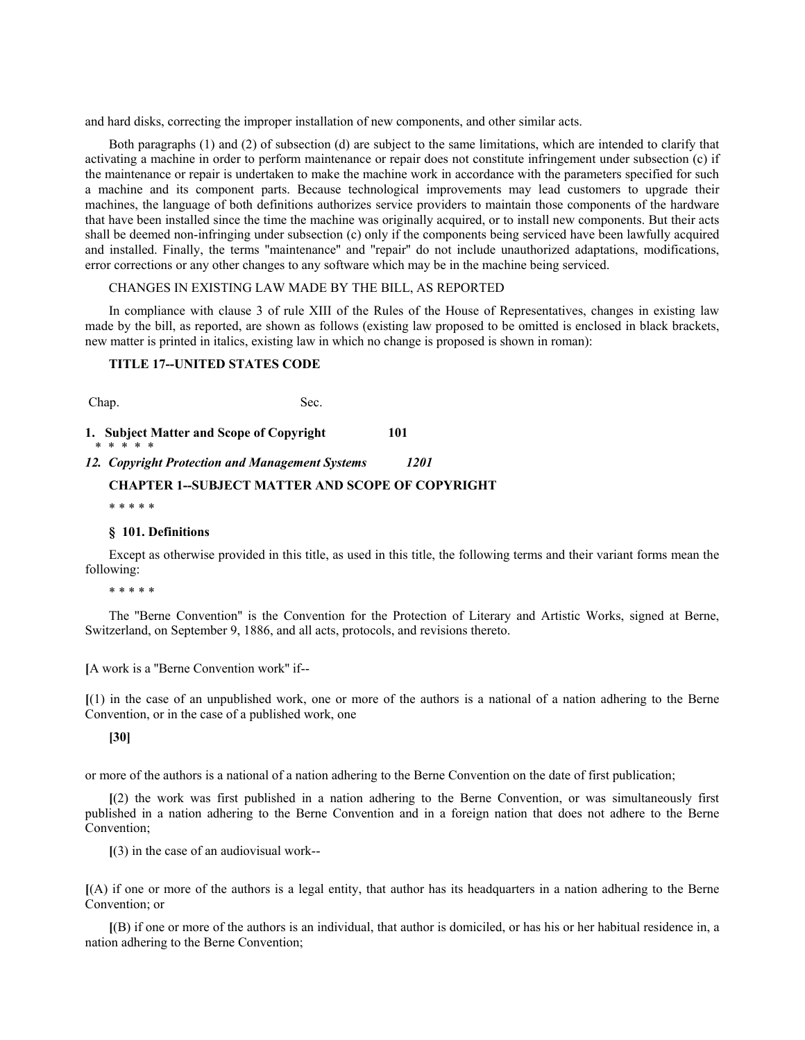and hard disks, correcting the improper installation of new components, and other similar acts.

Both paragraphs (1) and (2) of subsection (d) are subject to the same limitations, which are intended to clarify that activating a machine in order to perform maintenance or repair does not constitute infringement under subsection (c) if the maintenance or repair is undertaken to make the machine work in accordance with the parameters specified for such a machine and its component parts. Because technological improvements may lead customers to upgrade their machines, the language of both definitions authorizes service providers to maintain those components of the hardware that have been installed since the time the machine was originally acquired, or to install new components. But their acts shall be deemed non-infringing under subsection (c) only if the components being serviced have been lawfully acquired and installed. Finally, the terms ''maintenance'' and ''repair'' do not include unauthorized adaptations, modifications, error corrections or any other changes to any software which may be in the machine being serviced.

### CHANGES IN EXISTING LAW MADE BY THE BILL, AS REPORTED

In compliance with clause 3 of rule XIII of the Rules of the House of Representatives, changes in existing law made by the bill, as reported, are shown as follows (existing law proposed to be omitted is enclosed in black brackets, new matter is printed in italics, existing law in which no change is proposed is shown in roman):

## **TITLE 17--UNITED STATES CODE**

Chap. Sec.

**1. Subject Matter and Scope of Copyright 101** \* \* \* \* \*

*12. Copyright Protection and Management Systems 1201*

## **CHAPTER 1--SUBJECT MATTER AND SCOPE OF COPYRIGHT**

\* \* \* \* \*

## **§ 101. Definitions**

Except as otherwise provided in this title, as used in this title, the following terms and their variant forms mean the following:

\* \* \* \* \*

The ''Berne Convention'' is the Convention for the Protection of Literary and Artistic Works, signed at Berne, Switzerland, on September 9, 1886, and all acts, protocols, and revisions thereto.

**[**A work is a ''Berne Convention work'' if--

**[**(1) in the case of an unpublished work, one or more of the authors is a national of a nation adhering to the Berne Convention, or in the case of a published work, one

**[30]**

or more of the authors is a national of a nation adhering to the Berne Convention on the date of first publication;

**[**(2) the work was first published in a nation adhering to the Berne Convention, or was simultaneously first published in a nation adhering to the Berne Convention and in a foreign nation that does not adhere to the Berne Convention;

**[**(3) in the case of an audiovisual work--

**[**(A) if one or more of the authors is a legal entity, that author has its headquarters in a nation adhering to the Berne Convention; or

**[**(B) if one or more of the authors is an individual, that author is domiciled, or has his or her habitual residence in, a nation adhering to the Berne Convention;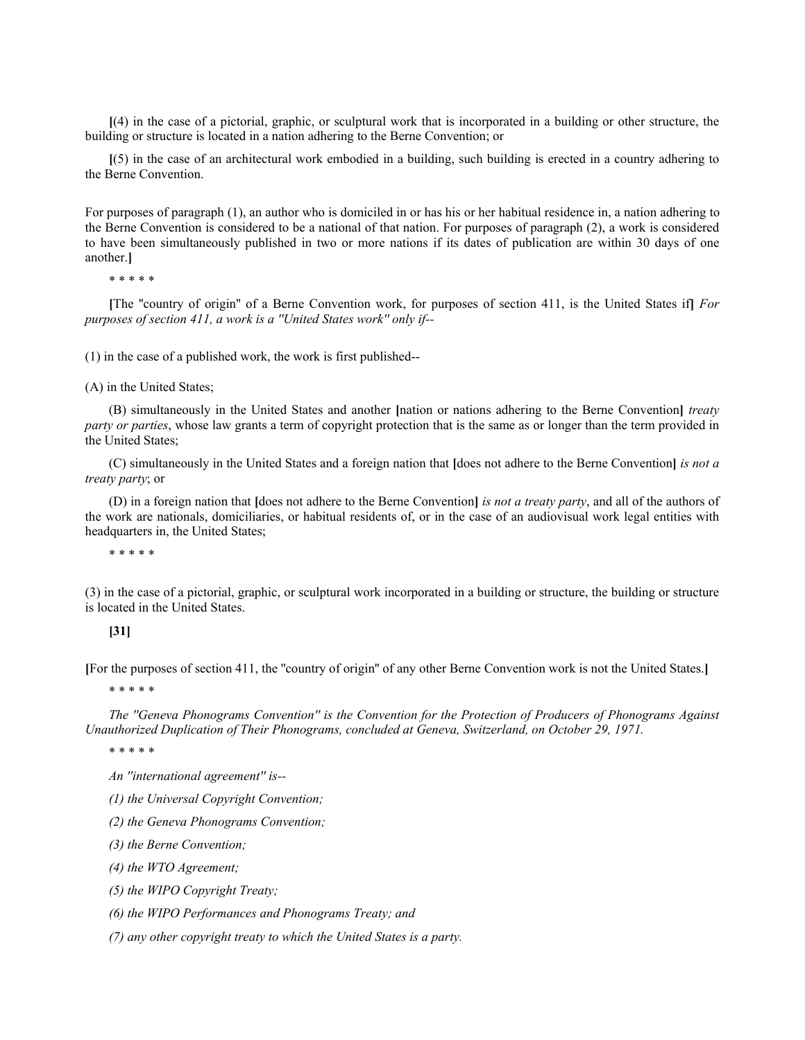**[**(4) in the case of a pictorial, graphic, or sculptural work that is incorporated in a building or other structure, the building or structure is located in a nation adhering to the Berne Convention; or

**[**(5) in the case of an architectural work embodied in a building, such building is erected in a country adhering to the Berne Convention.

For purposes of paragraph (1), an author who is domiciled in or has his or her habitual residence in, a nation adhering to the Berne Convention is considered to be a national of that nation. For purposes of paragraph (2), a work is considered to have been simultaneously published in two or more nations if its dates of publication are within 30 days of one another.**]**

\* \* \* \* \*

**[**The ''country of origin'' of a Berne Convention work, for purposes of section 411, is the United States if**]** *For purposes of section 411, a work is a ''United States work'' only if--*

(1) in the case of a published work, the work is first published--

(A) in the United States;

(B) simultaneously in the United States and another **[**nation or nations adhering to the Berne Convention**]** *treaty party or parties*, whose law grants a term of copyright protection that is the same as or longer than the term provided in the United States;

(C) simultaneously in the United States and a foreign nation that **[**does not adhere to the Berne Convention**]** *is not a treaty party*; or

(D) in a foreign nation that **[**does not adhere to the Berne Convention**]** *is not a treaty party*, and all of the authors of the work are nationals, domiciliaries, or habitual residents of, or in the case of an audiovisual work legal entities with headquarters in, the United States;

\* \* \* \* \*

(3) in the case of a pictorial, graphic, or sculptural work incorporated in a building or structure, the building or structure is located in the United States.

## **[31]**

**[**For the purposes of section 411, the ''country of origin'' of any other Berne Convention work is not the United States.**]**

\* \* \* \* \*

*The ''Geneva Phonograms Convention'' is the Convention for the Protection of Producers of Phonograms Against Unauthorized Duplication of Their Phonograms, concluded at Geneva, Switzerland, on October 29, 1971.*

\* \* \* \* \*

*An ''international agreement'' is--*

*(1) the Universal Copyright Convention;*

*(2) the Geneva Phonograms Convention;*

*(3) the Berne Convention;*

*(4) the WTO Agreement;*

*(5) the WIPO Copyright Treaty;*

*(6) the WIPO Performances and Phonograms Treaty; and*

*(7) any other copyright treaty to which the United States is a party.*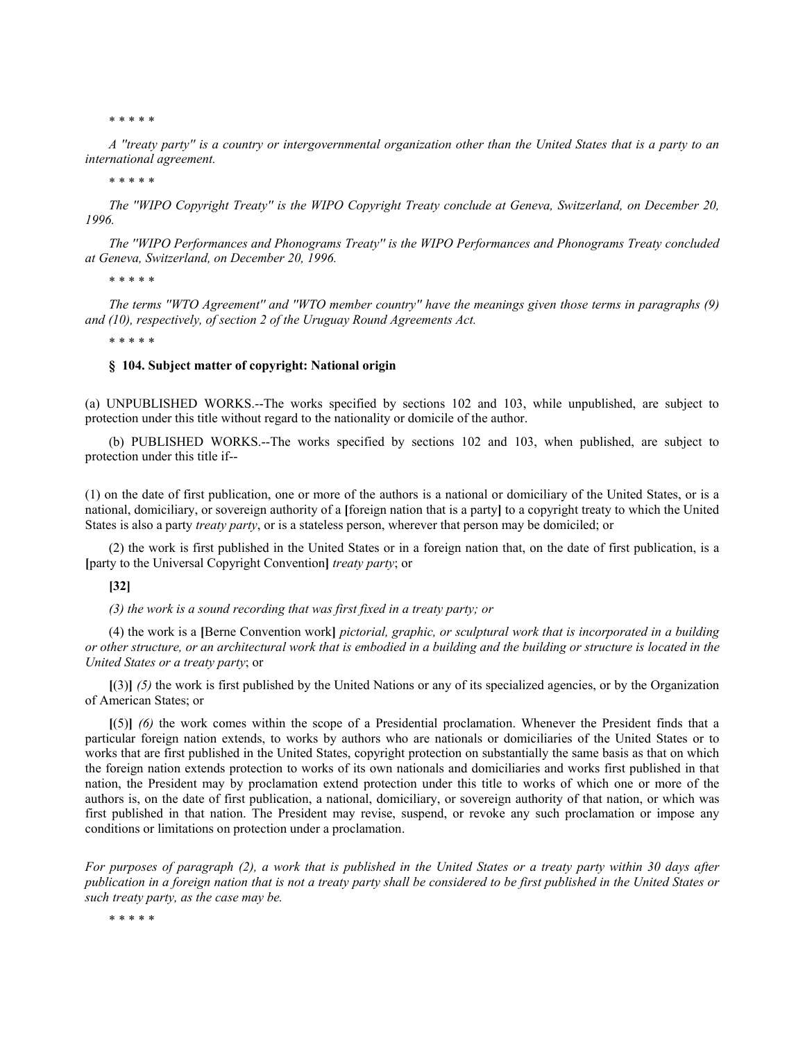#### \* \* \* \* \*

*A ''treaty party'' is a country or intergovernmental organization other than the United States that is a party to an international agreement.*

\* \* \* \* \*

*The ''WIPO Copyright Treaty'' is the WIPO Copyright Treaty conclude at Geneva, Switzerland, on December 20, 1996.*

*The ''WIPO Performances and Phonograms Treaty'' is the WIPO Performances and Phonograms Treaty concluded at Geneva, Switzerland, on December 20, 1996.*

\* \* \* \* \*

*The terms ''WTO Agreement'' and ''WTO member country'' have the meanings given those terms in paragraphs (9) and (10), respectively, of section 2 of the Uruguay Round Agreements Act.*

\* \* \* \* \*

## **§ 104. Subject matter of copyright: National origin**

(a) UNPUBLISHED WORKS.--The works specified by sections 102 and 103, while unpublished, are subject to protection under this title without regard to the nationality or domicile of the author.

(b) PUBLISHED WORKS.--The works specified by sections 102 and 103, when published, are subject to protection under this title if--

(1) on the date of first publication, one or more of the authors is a national or domiciliary of the United States, or is a national, domiciliary, or sovereign authority of a **[**foreign nation that is a party**]** to a copyright treaty to which the United States is also a party *treaty party*, or is a stateless person, wherever that person may be domiciled; or

(2) the work is first published in the United States or in a foreign nation that, on the date of first publication, is a **[**party to the Universal Copyright Convention**]** *treaty party*; or

**[32]**

*(3) the work is a sound recording that was first fixed in a treaty party; or*

(4) the work is a **[**Berne Convention work**]** *pictorial, graphic, or sculptural work that is incorporated in a building or other structure, or an architectural work that is embodied in a building and the building or structure is located in the United States or a treaty party*; or

**[**(3)**]** *(5)* the work is first published by the United Nations or any of its specialized agencies, or by the Organization of American States; or

**[**(5)**]** *(6)* the work comes within the scope of a Presidential proclamation. Whenever the President finds that a particular foreign nation extends, to works by authors who are nationals or domiciliaries of the United States or to works that are first published in the United States, copyright protection on substantially the same basis as that on which the foreign nation extends protection to works of its own nationals and domiciliaries and works first published in that nation, the President may by proclamation extend protection under this title to works of which one or more of the authors is, on the date of first publication, a national, domiciliary, or sovereign authority of that nation, or which was first published in that nation. The President may revise, suspend, or revoke any such proclamation or impose any conditions or limitations on protection under a proclamation.

*For purposes of paragraph (2), a work that is published in the United States or a treaty party within 30 days after publication in a foreign nation that is not a treaty party shall be considered to be first published in the United States or such treaty party, as the case may be.*

\* \* \* \* \*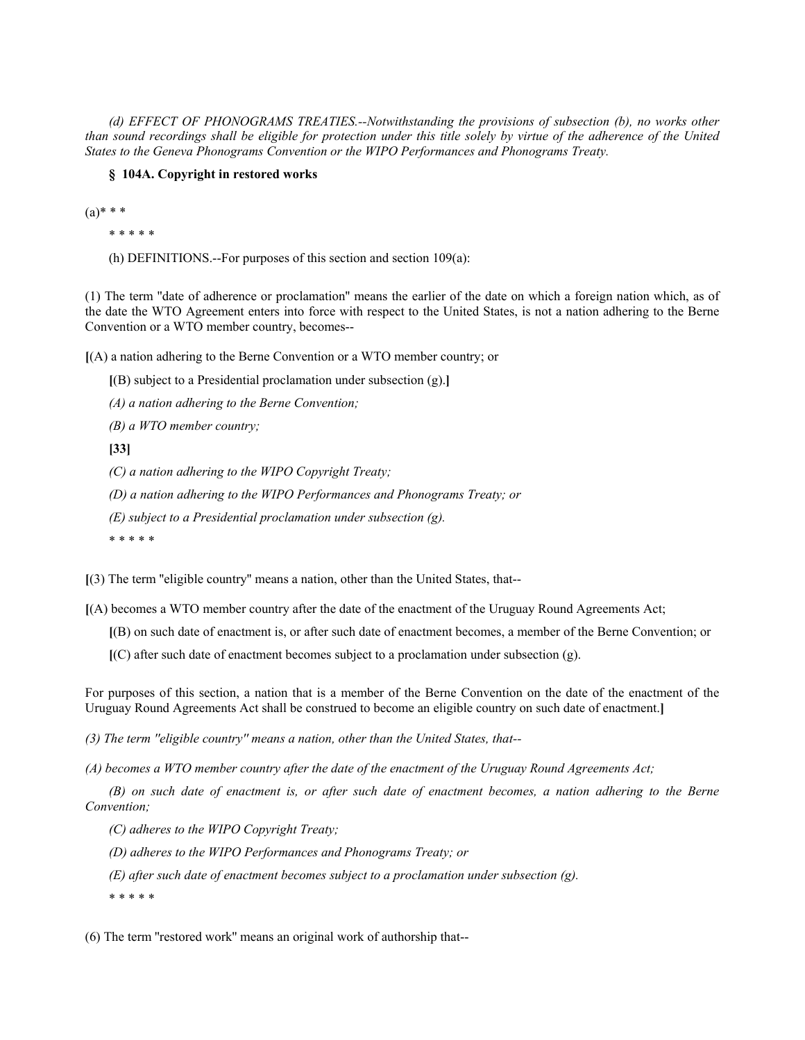*(d) EFFECT OF PHONOGRAMS TREATIES.--Notwithstanding the provisions of subsection (b), no works other than sound recordings shall be eligible for protection under this title solely by virtue of the adherence of the United States to the Geneva Phonograms Convention or the WIPO Performances and Phonograms Treaty.*

## **§ 104A. Copyright in restored works**

 $(a)$ \* \* \*

\* \* \* \* \*

(h) DEFINITIONS.--For purposes of this section and section 109(a):

(1) The term ''date of adherence or proclamation'' means the earlier of the date on which a foreign nation which, as of the date the WTO Agreement enters into force with respect to the United States, is not a nation adhering to the Berne Convention or a WTO member country, becomes--

**[**(A) a nation adhering to the Berne Convention or a WTO member country; or

**[**(B) subject to a Presidential proclamation under subsection (g).**]**

*(A) a nation adhering to the Berne Convention;*

*(B) a WTO member country;*

**[33]**

*(C) a nation adhering to the WIPO Copyright Treaty;*

*(D) a nation adhering to the WIPO Performances and Phonograms Treaty; or*

*(E) subject to a Presidential proclamation under subsection (g).*

\* \* \* \* \*

**[**(3) The term ''eligible country'' means a nation, other than the United States, that--

**[**(A) becomes a WTO member country after the date of the enactment of the Uruguay Round Agreements Act;

**[**(B) on such date of enactment is, or after such date of enactment becomes, a member of the Berne Convention; or

**[**(C) after such date of enactment becomes subject to a proclamation under subsection (g).

For purposes of this section, a nation that is a member of the Berne Convention on the date of the enactment of the Uruguay Round Agreements Act shall be construed to become an eligible country on such date of enactment.**]**

*(3) The term ''eligible country'' means a nation, other than the United States, that--*

*(A) becomes a WTO member country after the date of the enactment of the Uruguay Round Agreements Act;*

*(B) on such date of enactment is, or after such date of enactment becomes, a nation adhering to the Berne Convention;*

*(C) adheres to the WIPO Copyright Treaty;*

*(D) adheres to the WIPO Performances and Phonograms Treaty; or*

*(E) after such date of enactment becomes subject to a proclamation under subsection (g).*

\* \* \* \* \*

(6) The term ''restored work'' means an original work of authorship that--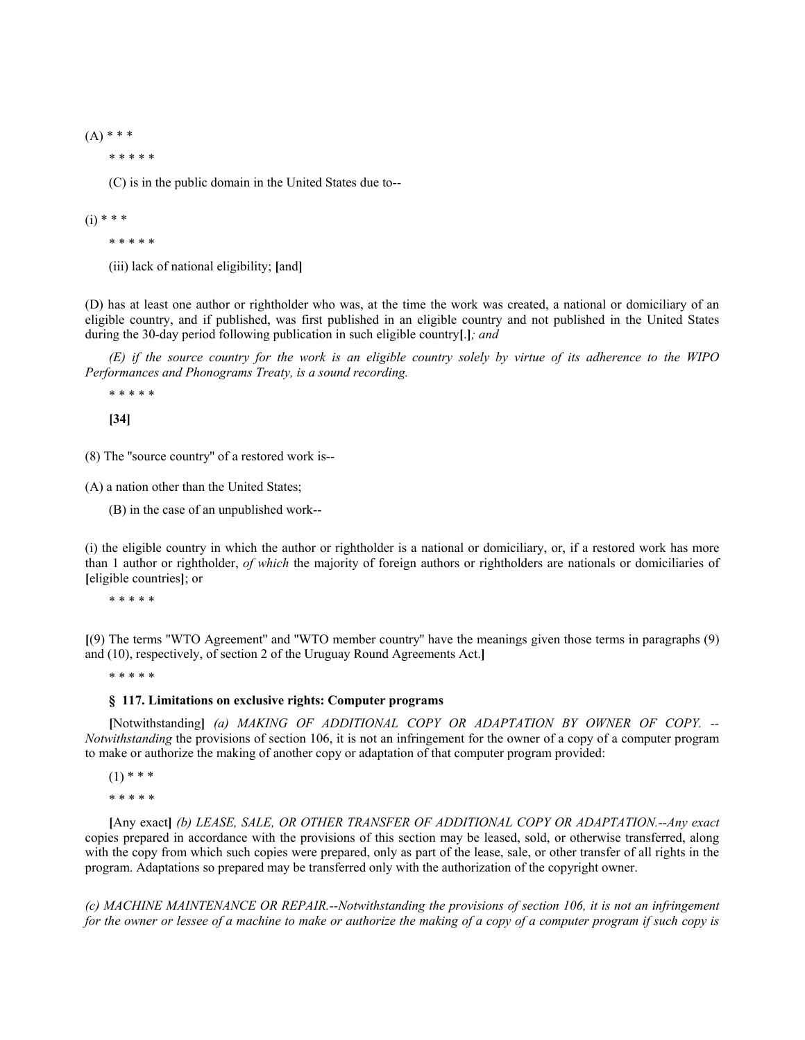$(A)$  \* \* \*

\* \* \* \* \*

(C) is in the public domain in the United States due to--

# $(i) * * *$

\* \* \* \* \*

(iii) lack of national eligibility; **[**and**]**

(D) has at least one author or rightholder who was, at the time the work was created, a national or domiciliary of an eligible country, and if published, was first published in an eligible country and not published in the United States during the 30-day period following publication in such eligible country**[**.**]***; and*

*(E) if the source country for the work is an eligible country solely by virtue of its adherence to the WIPO Performances and Phonograms Treaty, is a sound recording.*

\* \* \* \* \*

**[34]**

(8) The ''source country'' of a restored work is--

(A) a nation other than the United States;

(B) in the case of an unpublished work--

(i) the eligible country in which the author or rightholder is a national or domiciliary, or, if a restored work has more than 1 author or rightholder, *of which* the majority of foreign authors or rightholders are nationals or domiciliaries of **[**eligible countries**]**; or

\* \* \* \* \*

**[**(9) The terms ''WTO Agreement'' and ''WTO member country'' have the meanings given those terms in paragraphs (9) and (10), respectively, of section 2 of the Uruguay Round Agreements Act.**]**

\* \* \* \* \*

# **§ 117. Limitations on exclusive rights: Computer programs**

**[**Notwithstanding**]** *(a) MAKING OF ADDITIONAL COPY OR ADAPTATION BY OWNER OF COPY. -- Notwithstanding* the provisions of section 106, it is not an infringement for the owner of a copy of a computer program to make or authorize the making of another copy or adaptation of that computer program provided:

 $(1)$  \* \* \*

\* \* \* \* \*

**[**Any exact**]** *(b) LEASE, SALE, OR OTHER TRANSFER OF ADDITIONAL COPY OR ADAPTATION.--Any exact* copies prepared in accordance with the provisions of this section may be leased, sold, or otherwise transferred, along with the copy from which such copies were prepared, only as part of the lease, sale, or other transfer of all rights in the program. Adaptations so prepared may be transferred only with the authorization of the copyright owner.

*(c) MACHINE MAINTENANCE OR REPAIR.--Notwithstanding the provisions of section 106, it is not an infringement for the owner or lessee of a machine to make or authorize the making of a copy of a computer program if such copy is*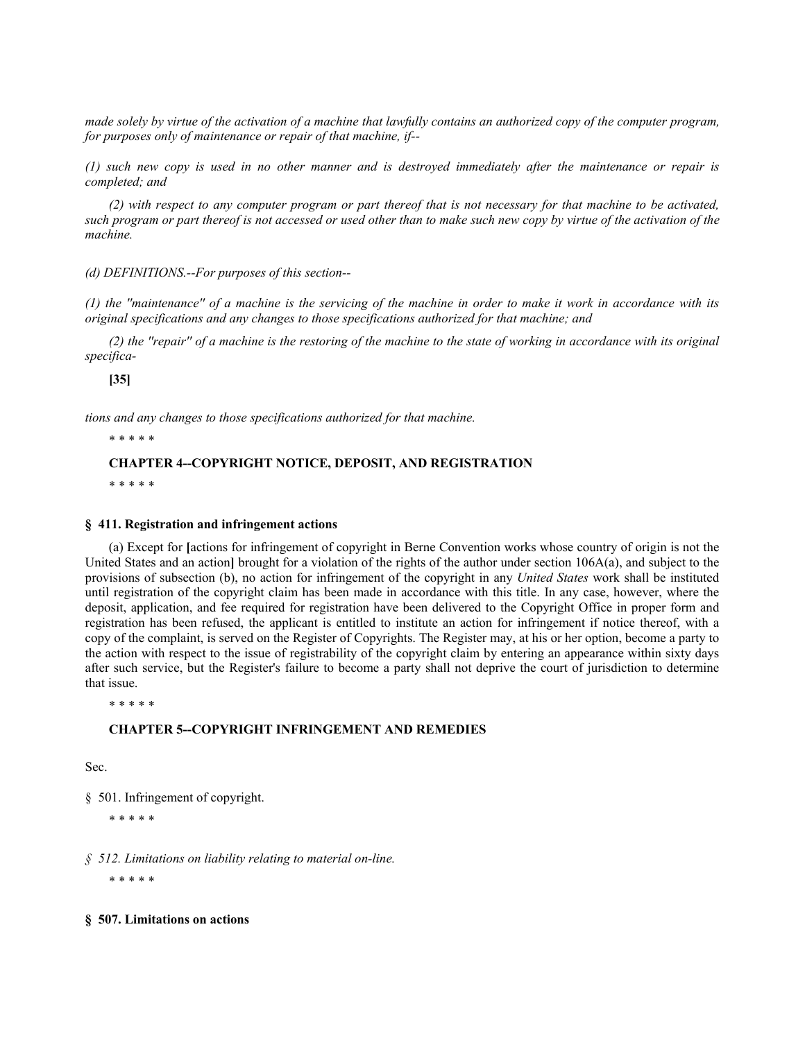*made solely by virtue of the activation of a machine that lawfully contains an authorized copy of the computer program, for purposes only of maintenance or repair of that machine, if--*

*(1) such new copy is used in no other manner and is destroyed immediately after the maintenance or repair is completed; and*

*(2) with respect to any computer program or part thereof that is not necessary for that machine to be activated, such program or part thereof is not accessed or used other than to make such new copy by virtue of the activation of the machine.*

*(d) DEFINITIONS.--For purposes of this section--*

*(1) the ''maintenance'' of a machine is the servicing of the machine in order to make it work in accordance with its original specifications and any changes to those specifications authorized for that machine; and*

*(2) the ''repair'' of a machine is the restoring of the machine to the state of working in accordance with its original specifica-*

**[35]**

*tions and any changes to those specifications authorized for that machine.*

\* \* \* \* \*

## **CHAPTER 4--COPYRIGHT NOTICE, DEPOSIT, AND REGISTRATION**

\* \* \* \* \*

#### **§ 411. Registration and infringement actions**

(a) Except for **[**actions for infringement of copyright in Berne Convention works whose country of origin is not the United States and an action<sub>l</sub> brought for a violation of the rights of the author under section 106A(a), and subject to the provisions of subsection (b), no action for infringement of the copyright in any *United States* work shall be instituted until registration of the copyright claim has been made in accordance with this title. In any case, however, where the deposit, application, and fee required for registration have been delivered to the Copyright Office in proper form and registration has been refused, the applicant is entitled to institute an action for infringement if notice thereof, with a copy of the complaint, is served on the Register of Copyrights. The Register may, at his or her option, become a party to the action with respect to the issue of registrability of the copyright claim by entering an appearance within sixty days after such service, but the Register's failure to become a party shall not deprive the court of jurisdiction to determine that issue.

\* \* \* \* \*

## **CHAPTER 5--COPYRIGHT INFRINGEMENT AND REMEDIES**

Sec.

§ 501. Infringement of copyright.

\* \* \* \* \*

*§ 512. Limitations on liability relating to material on-line.*

\* \* \* \* \*

#### **§ 507. Limitations on actions**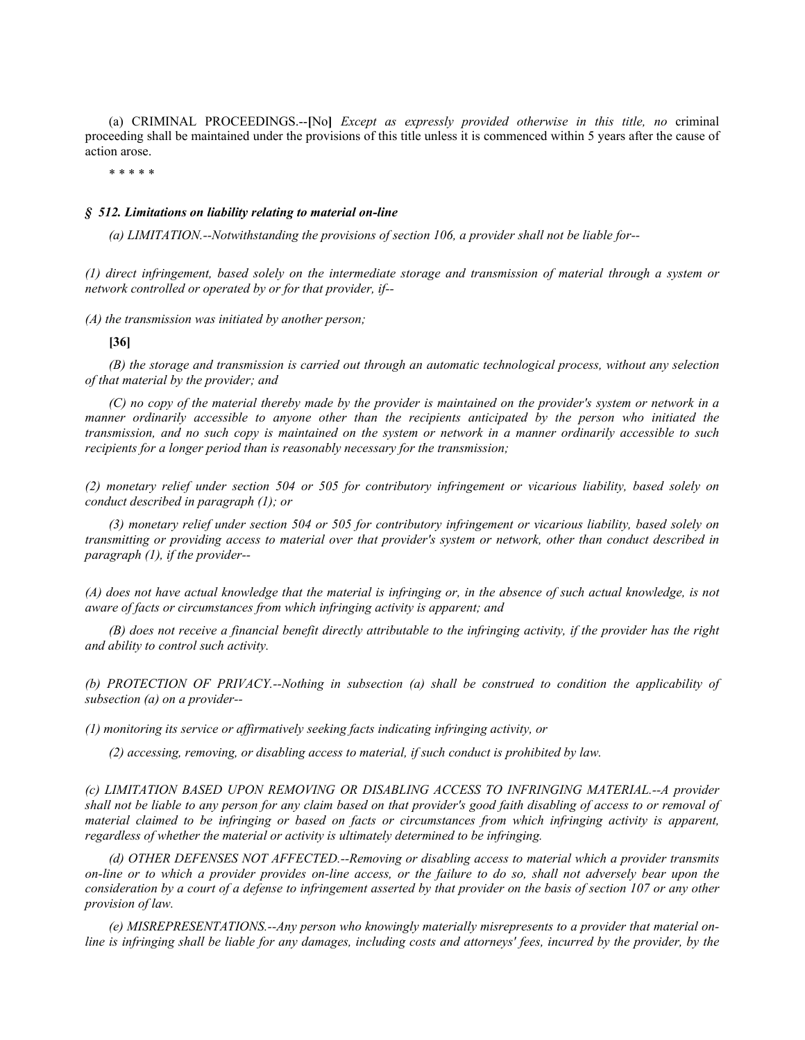(a) CRIMINAL PROCEEDINGS.--**[**No**]** *Except as expressly provided otherwise in this title, no* criminal proceeding shall be maintained under the provisions of this title unless it is commenced within 5 years after the cause of action arose.

\* \* \* \* \*

#### *§ 512. Limitations on liability relating to material on-line*

*(a) LIMITATION.--Notwithstanding the provisions of section 106, a provider shall not be liable for--*

*(1) direct infringement, based solely on the intermediate storage and transmission of material through a system or network controlled or operated by or for that provider, if--*

*(A) the transmission was initiated by another person;*

**[36]**

*(B) the storage and transmission is carried out through an automatic technological process, without any selection of that material by the provider; and*

*(C) no copy of the material thereby made by the provider is maintained on the provider's system or network in a manner ordinarily accessible to anyone other than the recipients anticipated by the person who initiated the transmission, and no such copy is maintained on the system or network in a manner ordinarily accessible to such recipients for a longer period than is reasonably necessary for the transmission;*

*(2) monetary relief under section 504 or 505 for contributory infringement or vicarious liability, based solely on conduct described in paragraph (1); or*

*(3) monetary relief under section 504 or 505 for contributory infringement or vicarious liability, based solely on transmitting or providing access to material over that provider's system or network, other than conduct described in paragraph (1), if the provider--*

*(A) does not have actual knowledge that the material is infringing or, in the absence of such actual knowledge, is not aware of facts or circumstances from which infringing activity is apparent; and*

*(B) does not receive a financial benefit directly attributable to the infringing activity, if the provider has the right and ability to control such activity.*

*(b) PROTECTION OF PRIVACY.--Nothing in subsection (a) shall be construed to condition the applicability of subsection (a) on a provider--*

*(1) monitoring its service or affirmatively seeking facts indicating infringing activity, or*

*(2) accessing, removing, or disabling access to material, if such conduct is prohibited by law.*

*(c) LIMITATION BASED UPON REMOVING OR DISABLING ACCESS TO INFRINGING MATERIAL.--A provider shall not be liable to any person for any claim based on that provider's good faith disabling of access to or removal of material claimed to be infringing or based on facts or circumstances from which infringing activity is apparent, regardless of whether the material or activity is ultimately determined to be infringing.*

*(d) OTHER DEFENSES NOT AFFECTED.--Removing or disabling access to material which a provider transmits on-line or to which a provider provides on-line access, or the failure to do so, shall not adversely bear upon the consideration by a court of a defense to infringement asserted by that provider on the basis of section 107 or any other provision of law.*

*(e) MISREPRESENTATIONS.--Any person who knowingly materially misrepresents to a provider that material on*line is infringing shall be liable for any damages, including costs and attorneys' fees, incurred by the provider, by the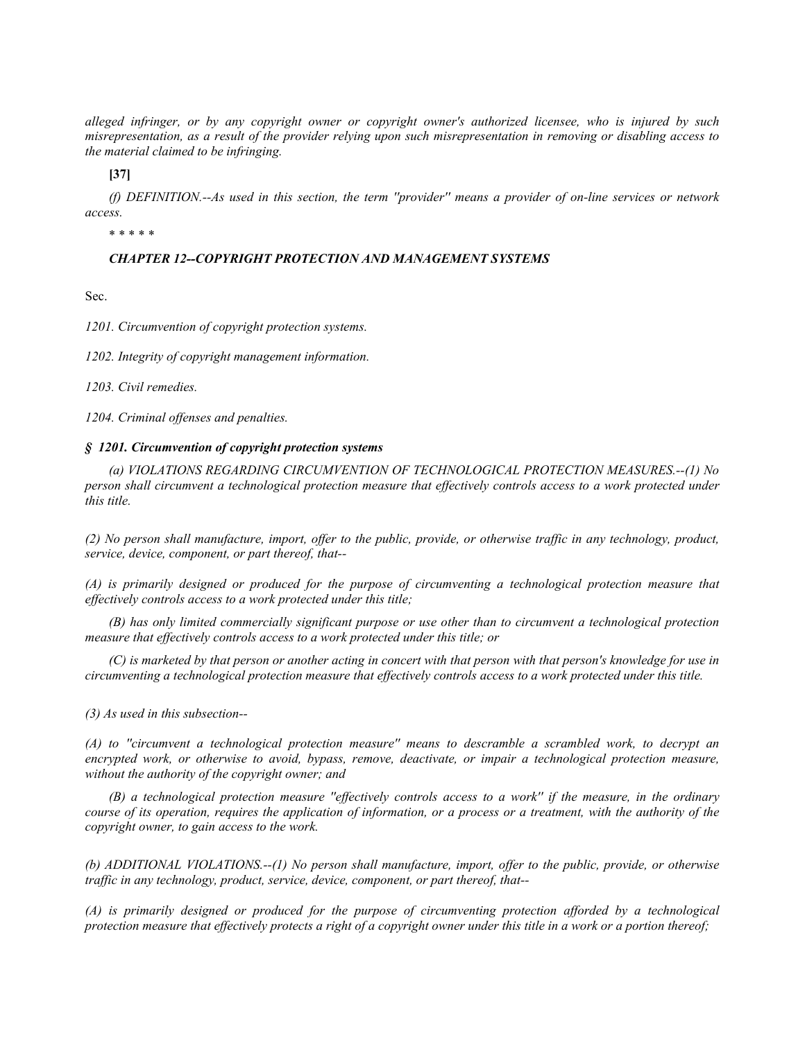*alleged infringer, or by any copyright owner or copyright owner's authorized licensee, who is injured by such misrepresentation, as a result of the provider relying upon such misrepresentation in removing or disabling access to the material claimed to be infringing.*

**[37]**

*(f) DEFINITION.--As used in this section, the term ''provider'' means a provider of on-line services or network access.*

\* \* \* \* \*

# *CHAPTER 12--COPYRIGHT PROTECTION AND MANAGEMENT SYSTEMS*

Sec.

*1201. Circumvention of copyright protection systems.*

*1202. Integrity of copyright management information.*

*1203. Civil remedies.*

*1204. Criminal offenses and penalties.*

## *§ 1201. Circumvention of copyright protection systems*

*(a) VIOLATIONS REGARDING CIRCUMVENTION OF TECHNOLOGICAL PROTECTION MEASURES.--(1) No person shall circumvent a technological protection measure that effectively controls access to a work protected under this title.*

*(2) No person shall manufacture, import, offer to the public, provide, or otherwise traffic in any technology, product, service, device, component, or part thereof, that--*

*(A) is primarily designed or produced for the purpose of circumventing a technological protection measure that effectively controls access to a work protected under this title;*

*(B) has only limited commercially significant purpose or use other than to circumvent a technological protection measure that effectively controls access to a work protected under this title; or*

*(C) is marketed by that person or another acting in concert with that person with that person's knowledge for use in circumventing a technological protection measure that effectively controls access to a work protected under this title.*

*(3) As used in this subsection--*

*(A) to ''circumvent a technological protection measure'' means to descramble a scrambled work, to decrypt an encrypted work, or otherwise to avoid, bypass, remove, deactivate, or impair a technological protection measure, without the authority of the copyright owner; and*

*(B) a technological protection measure ''effectively controls access to a work'' if the measure, in the ordinary course of its operation, requires the application of information, or a process or a treatment, with the authority of the copyright owner, to gain access to the work.*

*(b) ADDITIONAL VIOLATIONS.--(1) No person shall manufacture, import, offer to the public, provide, or otherwise traffic in any technology, product, service, device, component, or part thereof, that--*

*(A) is primarily designed or produced for the purpose of circumventing protection afforded by a technological protection measure that effectively protects a right of a copyright owner under this title in a work or a portion thereof;*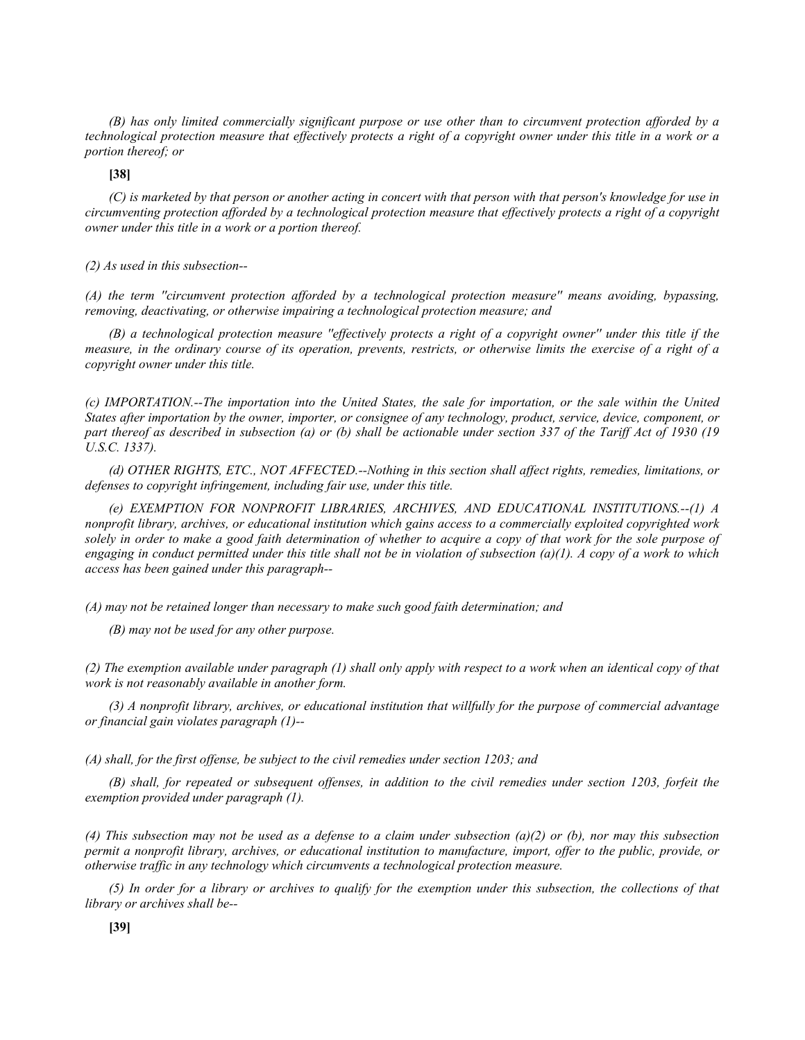*(B) has only limited commercially significant purpose or use other than to circumvent protection afforded by a technological protection measure that effectively protects a right of a copyright owner under this title in a work or a portion thereof; or*

**[38]**

*(C) is marketed by that person or another acting in concert with that person with that person's knowledge for use in circumventing protection afforded by a technological protection measure that effectively protects a right of a copyright owner under this title in a work or a portion thereof.*

*(2) As used in this subsection--*

*(A) the term ''circumvent protection afforded by a technological protection measure'' means avoiding, bypassing, removing, deactivating, or otherwise impairing a technological protection measure; and*

*(B) a technological protection measure ''effectively protects a right of a copyright owner'' under this title if the measure, in the ordinary course of its operation, prevents, restricts, or otherwise limits the exercise of a right of a copyright owner under this title.*

*(c) IMPORTATION.--The importation into the United States, the sale for importation, or the sale within the United States after importation by the owner, importer, or consignee of any technology, product, service, device, component, or part thereof as described in subsection (a) or (b) shall be actionable under section 337 of the Tariff Act of 1930 (19 U.S.C. 1337).*

*(d) OTHER RIGHTS, ETC., NOT AFFECTED.--Nothing in this section shall affect rights, remedies, limitations, or defenses to copyright infringement, including fair use, under this title.*

*(e) EXEMPTION FOR NONPROFIT LIBRARIES, ARCHIVES, AND EDUCATIONAL INSTITUTIONS.--(1) A nonprofit library, archives, or educational institution which gains access to a commercially exploited copyrighted work solely in order to make a good faith determination of whether to acquire a copy of that work for the sole purpose of engaging in conduct permitted under this title shall not be in violation of subsection (a)(1). A copy of a work to which access has been gained under this paragraph--*

*(A) may not be retained longer than necessary to make such good faith determination; and*

*(B) may not be used for any other purpose.*

*(2) The exemption available under paragraph (1) shall only apply with respect to a work when an identical copy of that work is not reasonably available in another form.*

*(3) A nonprofit library, archives, or educational institution that willfully for the purpose of commercial advantage or financial gain violates paragraph (1)--*

*(A) shall, for the first offense, be subject to the civil remedies under section 1203; and*

*(B) shall, for repeated or subsequent offenses, in addition to the civil remedies under section 1203, forfeit the exemption provided under paragraph (1).*

*(4) This subsection may not be used as a defense to a claim under subsection (a)(2) or (b), nor may this subsection permit a nonprofit library, archives, or educational institution to manufacture, import, offer to the public, provide, or otherwise traffic in any technology which circumvents a technological protection measure.*

*(5) In order for a library or archives to qualify for the exemption under this subsection, the collections of that library or archives shall be--*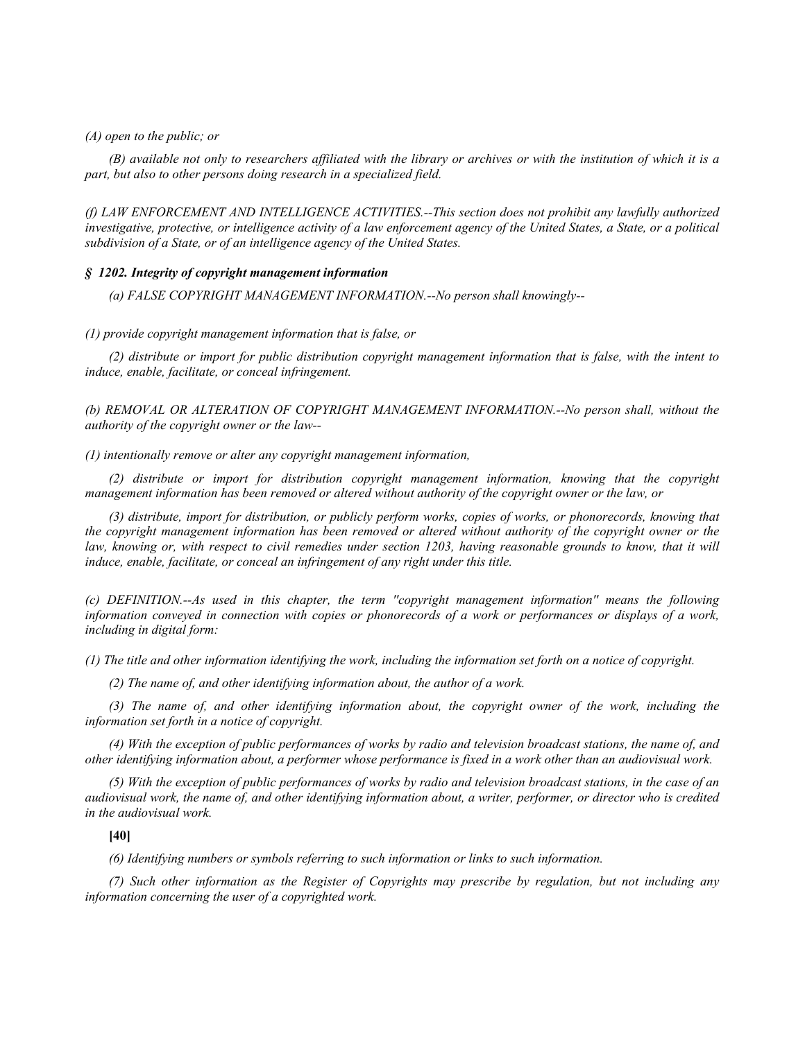*(A) open to the public; or*

*(B) available not only to researchers affiliated with the library or archives or with the institution of which it is a part, but also to other persons doing research in a specialized field.*

*(f) LAW ENFORCEMENT AND INTELLIGENCE ACTIVITIES.--This section does not prohibit any lawfully authorized investigative, protective, or intelligence activity of a law enforcement agency of the United States, a State, or a political subdivision of a State, or of an intelligence agency of the United States.*

### *§ 1202. Integrity of copyright management information*

*(a) FALSE COPYRIGHT MANAGEMENT INFORMATION.--No person shall knowingly--*

### *(1) provide copyright management information that is false, or*

*(2) distribute or import for public distribution copyright management information that is false, with the intent to induce, enable, facilitate, or conceal infringement.*

*(b) REMOVAL OR ALTERATION OF COPYRIGHT MANAGEMENT INFORMATION.--No person shall, without the authority of the copyright owner or the law--*

*(1) intentionally remove or alter any copyright management information,*

*(2) distribute or import for distribution copyright management information, knowing that the copyright management information has been removed or altered without authority of the copyright owner or the law, or*

*(3) distribute, import for distribution, or publicly perform works, copies of works, or phonorecords, knowing that the copyright management information has been removed or altered without authority of the copyright owner or the*  law, knowing or, with respect to civil remedies under section 1203, having reasonable grounds to know, that it will *induce, enable, facilitate, or conceal an infringement of any right under this title.*

*(c) DEFINITION.--As used in this chapter, the term ''copyright management information'' means the following information conveyed in connection with copies or phonorecords of a work or performances or displays of a work, including in digital form:*

*(1) The title and other information identifying the work, including the information set forth on a notice of copyright.*

*(2) The name of, and other identifying information about, the author of a work.*

*(3) The name of, and other identifying information about, the copyright owner of the work, including the information set forth in a notice of copyright.*

*(4) With the exception of public performances of works by radio and television broadcast stations, the name of, and other identifying information about, a performer whose performance is fixed in a work other than an audiovisual work.*

*(5) With the exception of public performances of works by radio and television broadcast stations, in the case of an audiovisual work, the name of, and other identifying information about, a writer, performer, or director who is credited in the audiovisual work.*

## **[40]**

*(6) Identifying numbers or symbols referring to such information or links to such information.*

*(7) Such other information as the Register of Copyrights may prescribe by regulation, but not including any information concerning the user of a copyrighted work.*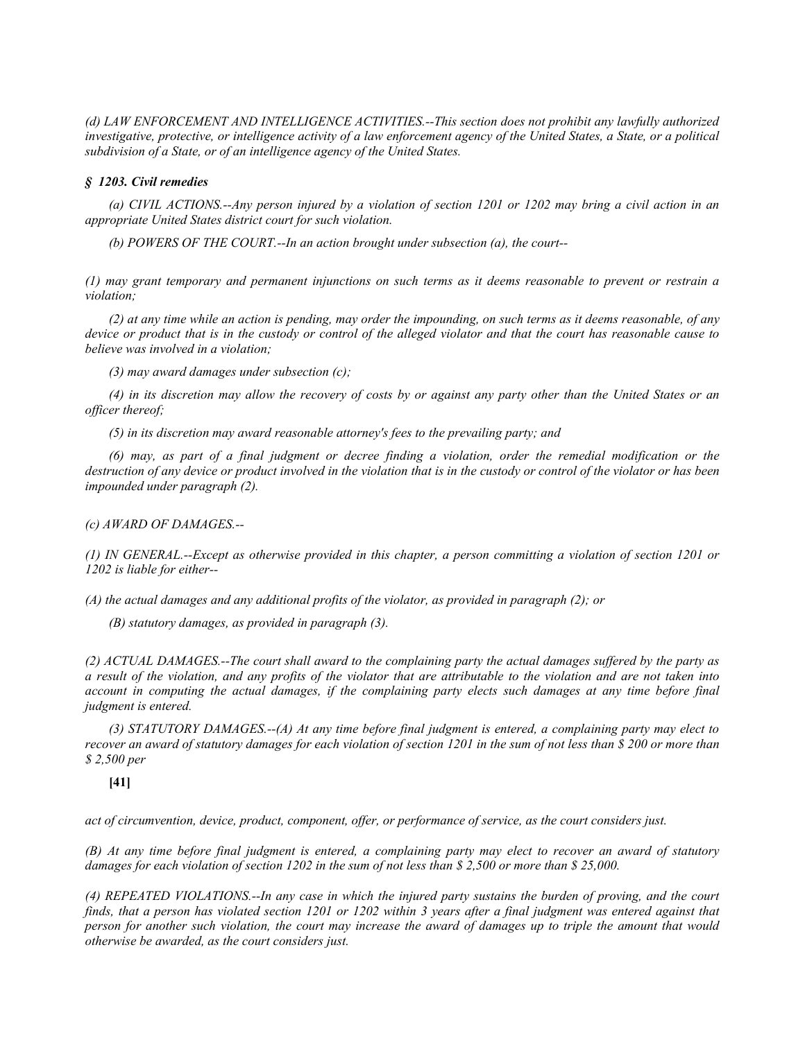*(d) LAW ENFORCEMENT AND INTELLIGENCE ACTIVITIES.--This section does not prohibit any lawfully authorized investigative, protective, or intelligence activity of a law enforcement agency of the United States, a State, or a political subdivision of a State, or of an intelligence agency of the United States.*

## *§ 1203. Civil remedies*

*(a) CIVIL ACTIONS.--Any person injured by a violation of section 1201 or 1202 may bring a civil action in an appropriate United States district court for such violation.*

*(b) POWERS OF THE COURT.--In an action brought under subsection (a), the court--*

*(1) may grant temporary and permanent injunctions on such terms as it deems reasonable to prevent or restrain a violation;*

*(2) at any time while an action is pending, may order the impounding, on such terms as it deems reasonable, of any device or product that is in the custody or control of the alleged violator and that the court has reasonable cause to believe was involved in a violation;*

*(3) may award damages under subsection (c);*

*(4) in its discretion may allow the recovery of costs by or against any party other than the United States or an officer thereof;*

*(5) in its discretion may award reasonable attorney's fees to the prevailing party; and*

*(6) may, as part of a final judgment or decree finding a violation, order the remedial modification or the destruction of any device or product involved in the violation that is in the custody or control of the violator or has been impounded under paragraph (2).*

*(c) AWARD OF DAMAGES.--*

*(1) IN GENERAL.--Except as otherwise provided in this chapter, a person committing a violation of section 1201 or 1202 is liable for either--*

*(A) the actual damages and any additional profits of the violator, as provided in paragraph (2); or*

*(B) statutory damages, as provided in paragraph (3).*

*(2) ACTUAL DAMAGES.--The court shall award to the complaining party the actual damages suffered by the party as a result of the violation, and any profits of the violator that are attributable to the violation and are not taken into account in computing the actual damages, if the complaining party elects such damages at any time before final judgment is entered.*

*(3) STATUTORY DAMAGES.--(A) At any time before final judgment is entered, a complaining party may elect to recover an award of statutory damages for each violation of section 1201 in the sum of not less than \$ 200 or more than \$ 2,500 per*

# **[41]**

*act of circumvention, device, product, component, offer, or performance of service, as the court considers just.*

*(B) At any time before final judgment is entered, a complaining party may elect to recover an award of statutory damages for each violation of section 1202 in the sum of not less than \$ 2,500 or more than \$ 25,000.*

*(4) REPEATED VIOLATIONS.--In any case in which the injured party sustains the burden of proving, and the court finds, that a person has violated section 1201 or 1202 within 3 years after a final judgment was entered against that person for another such violation, the court may increase the award of damages up to triple the amount that would otherwise be awarded, as the court considers just.*